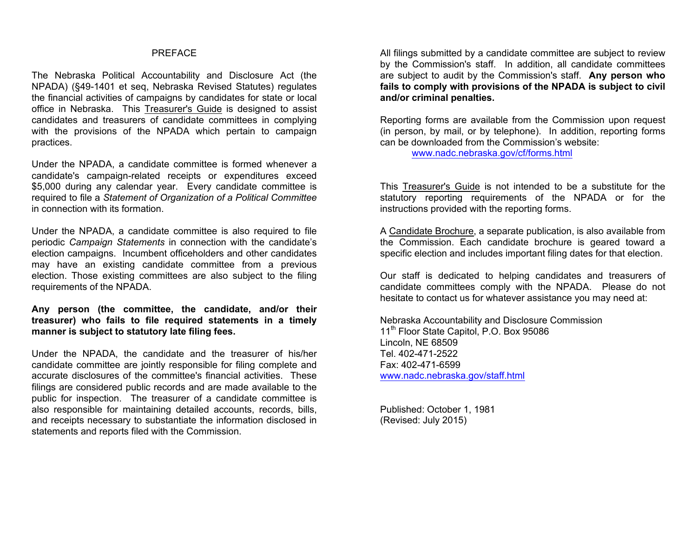### PREFACE

The Nebraska Political Accountability and Disclosure Act (the NPADA) (§49-1401 et seq, Nebraska Revised Statutes) regulates the financial activities of campaigns by candidates for state or local office in Nebraska. This Treasurer's Guide is designed to assist candidates and treasurers of candidate committees in complying with the provisions of the NPADA which pertain to campaign practices.

Under the NPADA, a candidate committee is formed whenever a candidate's campaign-related receipts or expenditures exceed \$5,000 during any calendar year. Every candidate committee is required to file a *Statement of Organization of a Political Committee* in connection with its formation.

Under the NPADA, a candidate committee is also required to file periodic *Campaign Statements* in connection with the candidate's election campaigns. Incumbent officeholders and other candidates may have an existing candidate committee from a previous election. Those existing committees are also subject to the filing requirements of the NPADA.

**Any person (the committee, the candidate, and/or their treasurer) who fails to file required statements in a timely manner is subject to statutory late filing fees.**

Under the NPADA, the candidate and the treasurer of his/her candidate committee are jointly responsible for filing complete and accurate disclosures of the committee's financial activities. These filings are considered public records and are made available to the public for inspection. The treasurer of a candidate committee is also responsible for maintaining detailed accounts, records, bills, and receipts necessary to substantiate the information disclosed in statements and reports filed with the Commission.

All filings submitted by a candidate committee are subject to review by the Commission's staff. In addition, all candidate committees are subject to audit by the Commission's staff. **Any person who fails to comply with provisions of the NPADA is subject to civil and/or criminal penalties.**

Reporting forms are available from the Commission upon request (in person, by mail, or by telephone). In addition, reporting forms can be downloaded from the Commission's website:

www.nadc.nebraska.gov/cf/forms.html

This Treasurer's Guide is not intended to be a substitute for the statutory reporting requirements of the NPADA or for the instructions provided with the reporting forms.

A Candidate Brochure, a separate publication, is also available from the Commission. Each candidate brochure is geared toward a specific election and includes important filing dates for that election.

Our staff is dedicated to helping candidates and treasurers of candidate committees comply with the NPADA. Please do not hesitate to contact us for whatever assistance you may need at:

Nebraska Accountability and Disclosure Commission 11<sup>th</sup> Floor State Capitol, P.O. Box 95086 Lincoln, NE 68509 Tel. 402-471-2522 Fax: 402-471-6599 www.nadc.nebraska.gov/staff.html

Published: October 1, 1981 (Revised: July 2015)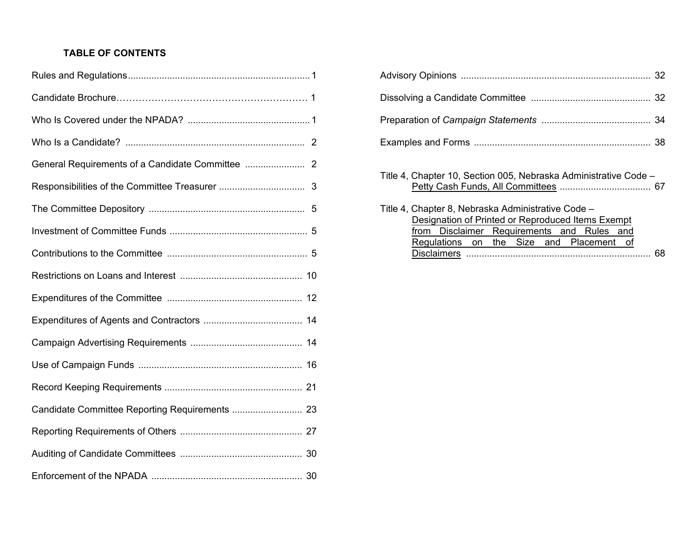# **TABLE OF CONTENTS**

| Title 4, Chapter 10, Section 005, Nebraska Administrative Code -                                        |
|---------------------------------------------------------------------------------------------------------|
| Title 4, Chapter 8, Nebraska Administrative Code -<br>Designation of Printed or Reproduced Items Exempt |
| from Disclaimer Requirements and Rules and                                                              |
| Regulations on the Size and Placement of<br>68                                                          |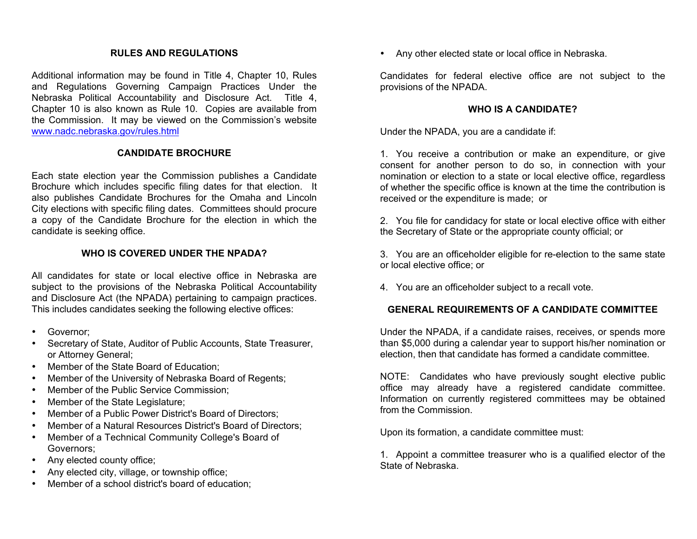### **RULES AND REGULATIONS**

Additional information may be found in Title 4, Chapter 10, Rules and Regulations Governing Campaign Practices Under the Nebraska Political Accountability and Disclosure Act. Title 4, Chapter 10 is also known as Rule 10. Copies are available from the Commission. It may be viewed on the Commission's website www.nadc.nebraska.gov/rules.html

### **CANDIDATE BROCHURE**

Each state election year the Commission publishes a Candidate Brochure which includes specific filing dates for that election. It also publishes Candidate Brochures for the Omaha and Lincoln City elections with specific filing dates. Committees should procure a copy of the Candidate Brochure for the election in which the candidate is seeking office.

#### **WHO IS COVERED UNDER THE NPADA?**

All candidates for state or local elective office in Nebraska are subject to the provisions of the Nebraska Political Accountability and Disclosure Act (the NPADA) pertaining to campaign practices. This includes candidates seeking the following elective offices:

- Governor;
- Secretary of State, Auditor of Public Accounts, State Treasurer, or Attorney General;
- Member of the State Board of Education;
- Member of the University of Nebraska Board of Regents;
- Member of the Public Service Commission;
- Member of the State Legislature;
- Member of a Public Power District's Board of Directors;
- Member of a Natural Resources District's Board of Directors;
- Member of a Technical Community College's Board of Governors;
- Any elected county office;
- Any elected city, village, or township office;
- Member of a school district's board of education;

• Any other elected state or local office in Nebraska.

Candidates for federal elective office are not subject to the provisions of the NPADA.

### **WHO IS A CANDIDATE?**

Under the NPADA, you are a candidate if:

1. You receive a contribution or make an expenditure, or give consent for another person to do so, in connection with your nomination or election to a state or local elective office, regardless of whether the specific office is known at the time the contribution is received or the expenditure is made; or

2. You file for candidacy for state or local elective office with either the Secretary of State or the appropriate county official; or

3. You are an officeholder eligible for re-election to the same state or local elective office; or

4. You are an officeholder subject to a recall vote.

#### **GENERAL REQUIREMENTS OF A CANDIDATE COMMITTEE**

Under the NPADA, if a candidate raises, receives, or spends more than \$5,000 during a calendar year to support his/her nomination or election, then that candidate has formed a candidate committee.

NOTE: Candidates who have previously sought elective public office may already have a registered candidate committee. Information on currently registered committees may be obtained from the Commission.

Upon its formation, a candidate committee must:

1. Appoint a committee treasurer who is a qualified elector of the State of Nebraska.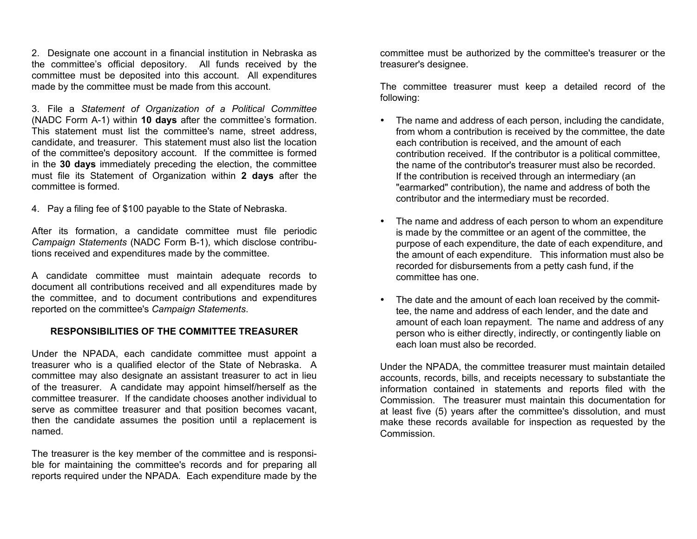2. Designate one account in a financial institution in Nebraska as the committee's official depository. All funds received by the committee must be deposited into this account. All expenditures made by the committee must be made from this account.

3. File a *Statement of Organization of a Political Committee* (NADC Form A-1) within **10 days** after the committee's formation. This statement must list the committee's name, street address, candidate, and treasurer. This statement must also list the location of the committee's depository account. If the committee is formed in the **30 days** immediately preceding the election, the committee must file its Statement of Organization within **2 days** after the committee is formed.

4. Pay a filing fee of \$100 payable to the State of Nebraska.

After its formation, a candidate committee must file periodic *Campaign Statements* (NADC Form B-1), which disclose contributions received and expenditures made by the committee.

A candidate committee must maintain adequate records to document all contributions received and all expenditures made by the committee, and to document contributions and expenditures reported on the committee's *Campaign Statements*.

### **RESPONSIBILITIES OF THE COMMITTEE TREASURER**

Under the NPADA, each candidate committee must appoint a treasurer who is a qualified elector of the State of Nebraska. A committee may also designate an assistant treasurer to act in lieu of the treasurer. A candidate may appoint himself/herself as the committee treasurer. If the candidate chooses another individual to serve as committee treasurer and that position becomes vacant, then the candidate assumes the position until a replacement is named.

The treasurer is the key member of the committee and is responsible for maintaining the committee's records and for preparing all reports required under the NPADA. Each expenditure made by the

committee must be authorized by the committee's treasurer or the treasurer's designee.

The committee treasurer must keep a detailed record of the following:

- The name and address of each person, including the candidate, from whom a contribution is received by the committee, the date each contribution is received, and the amount of each contribution received. If the contributor is a political committee, the name of the contributor's treasurer must also be recorded. If the contribution is received through an intermediary (an "earmarked" contribution), the name and address of both the contributor and the intermediary must be recorded.
- The name and address of each person to whom an expenditure is made by the committee or an agent of the committee, the purpose of each expenditure, the date of each expenditure, and the amount of each expenditure. This information must also be recorded for disbursements from a petty cash fund, if the committee has one.
- The date and the amount of each loan received by the committee, the name and address of each lender, and the date and amount of each loan repayment. The name and address of any person who is either directly, indirectly, or contingently liable on each loan must also be recorded.

Under the NPADA, the committee treasurer must maintain detailed accounts, records, bills, and receipts necessary to substantiate the information contained in statements and reports filed with the Commission. The treasurer must maintain this documentation for at least five (5) years after the committee's dissolution, and must make these records available for inspection as requested by the Commission.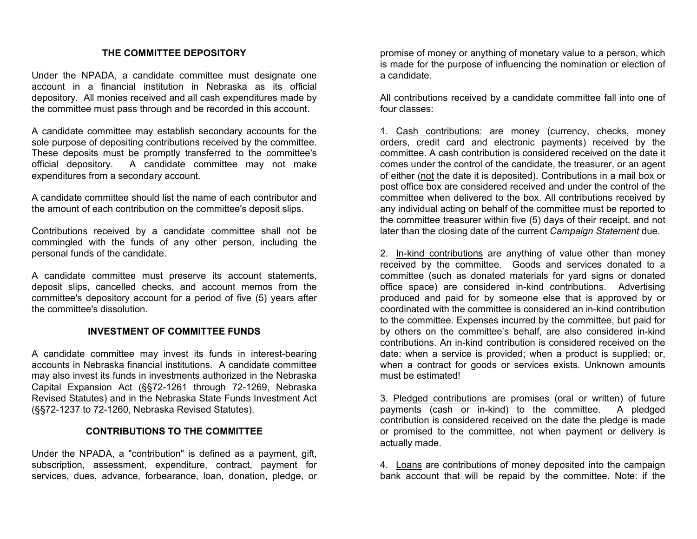### **THE COMMITTEE DEPOSITORY**

Under the NPADA, a candidate committee must designate one account in a financial institution in Nebraska as its official depository. All monies received and all cash expenditures made by the committee must pass through and be recorded in this account.

A candidate committee may establish secondary accounts for the sole purpose of depositing contributions received by the committee. These deposits must be promptly transferred to the committee's official depository. A candidate committee may not make expenditures from a secondary account.

A candidate committee should list the name of each contributor and the amount of each contribution on the committee's deposit slips.

Contributions received by a candidate committee shall not be commingled with the funds of any other person, including the personal funds of the candidate.

A candidate committee must preserve its account statements, deposit slips, cancelled checks, and account memos from the committee's depository account for a period of five (5) years after the committee's dissolution.

#### **INVESTMENT OF COMMITTEE FUNDS**

A candidate committee may invest its funds in interest-bearing accounts in Nebraska financial institutions. A candidate committee may also invest its funds in investments authorized in the Nebraska Capital Expansion Act (§§72-1261 through 72-1269, Nebraska Revised Statutes) and in the Nebraska State Funds Investment Act (§§72-1237 to 72-1260, Nebraska Revised Statutes).

### **CONTRIBUTIONS TO THE COMMITTEE**

Under the NPADA, a "contribution" is defined as a payment, gift, subscription, assessment, expenditure, contract, payment for services, dues, advance, forbearance, loan, donation, pledge, or

promise of money or anything of monetary value to a person, which is made for the purpose of influencing the nomination or election of a candidate.

All contributions received by a candidate committee fall into one of four classes:

1. Cash contributions: are money (currency, checks, money orders, credit card and electronic payments) received by the committee. A cash contribution is considered received on the date it comes under the control of the candidate, the treasurer, or an agent of either (not the date it is deposited). Contributions in a mail box or post office box are considered received and under the control of the committee when delivered to the box. All contributions received by any individual acting on behalf of the committee must be reported to the committee treasurer within five (5) days of their receipt, and not later than the closing date of the current *Campaign Statement* due.

2. In-kind contributions are anything of value other than money received by the committee. Goods and services donated to a committee (such as donated materials for yard signs or donated office space) are considered in-kind contributions. Advertising produced and paid for by someone else that is approved by or coordinated with the committee is considered an in-kind contribution to the committee. Expenses incurred by the committee, but paid for by others on the committee's behalf, are also considered in-kind contributions. An in-kind contribution is considered received on the date: when a service is provided; when a product is supplied; or, when a contract for goods or services exists. Unknown amounts must be estimated!

3. Pledged contributions are promises (oral or written) of future payments (cash or in-kind) to the committee. A pledged contribution is considered received on the date the pledge is made or promised to the committee, not when payment or delivery is actually made.

4. Loans are contributions of money deposited into the campaign bank account that will be repaid by the committee. Note: if the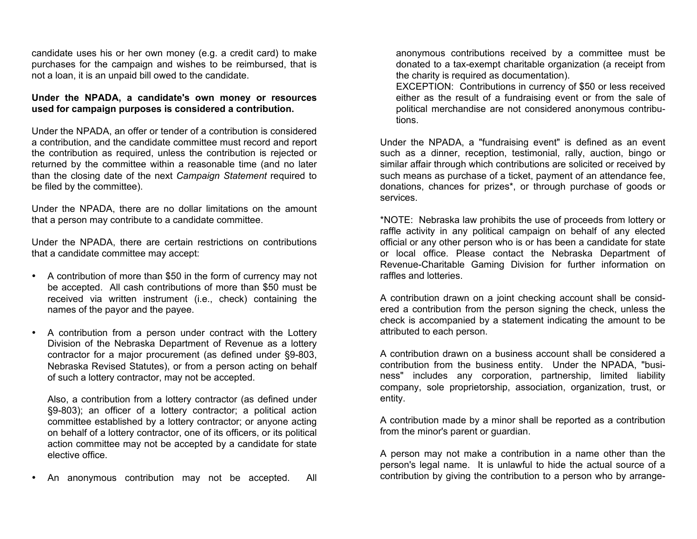candidate uses his or her own money (e.g. a credit card) to make purchases for the campaign and wishes to be reimbursed, that is not a loan, it is an unpaid bill owed to the candidate.

### **Under the NPADA, a candidate's own money or resources used for campaign purposes is considered a contribution.**

Under the NPADA, an offer or tender of a contribution is considered a contribution, and the candidate committee must record and report the contribution as required, unless the contribution is rejected or returned by the committee within a reasonable time (and no later than the closing date of the next *Campaign Statement* required to be filed by the committee).

Under the NPADA, there are no dollar limitations on the amount that a person may contribute to a candidate committee.

Under the NPADA, there are certain restrictions on contributions that a candidate committee may accept:

- A contribution of more than \$50 in the form of currency may not be accepted. All cash contributions of more than \$50 must be received via written instrument (i.e., check) containing the names of the payor and the payee.
- A contribution from a person under contract with the Lottery Division of the Nebraska Department of Revenue as a lottery contractor for a major procurement (as defined under §9-803, Nebraska Revised Statutes), or from a person acting on behalf of such a lottery contractor, may not be accepted.

Also, a contribution from a lottery contractor (as defined under §9-803); an officer of a lottery contractor; a political action committee established by a lottery contractor; or anyone acting on behalf of a lottery contractor, one of its officers, or its political action committee may not be accepted by a candidate for state elective office.

• An anonymous contribution may not be accepted. All

anonymous contributions received by a committee must be donated to a tax-exempt charitable organization (a receipt from the charity is required as documentation).

EXCEPTION: Contributions in currency of \$50 or less received either as the result of a fundraising event or from the sale of political merchandise are not considered anonymous contributions.

Under the NPADA, a "fundraising event" is defined as an event such as a dinner, reception, testimonial, rally, auction, bingo or similar affair through which contributions are solicited or received by such means as purchase of a ticket, payment of an attendance fee, donations, chances for prizes\*, or through purchase of goods or services.

\*NOTE: Nebraska law prohibits the use of proceeds from lottery or raffle activity in any political campaign on behalf of any elected official or any other person who is or has been a candidate for state or local office. Please contact the Nebraska Department of Revenue-Charitable Gaming Division for further information on raffles and lotteries.

A contribution drawn on a joint checking account shall be considered a contribution from the person signing the check, unless the check is accompanied by a statement indicating the amount to be attributed to each person.

A contribution drawn on a business account shall be considered a contribution from the business entity. Under the NPADA, "business" includes any corporation, partnership, limited liability company, sole proprietorship, association, organization, trust, or entity.

A contribution made by a minor shall be reported as a contribution from the minor's parent or guardian.

A person may not make a contribution in a name other than the person's legal name. It is unlawful to hide the actual source of a contribution by giving the contribution to a person who by arrange-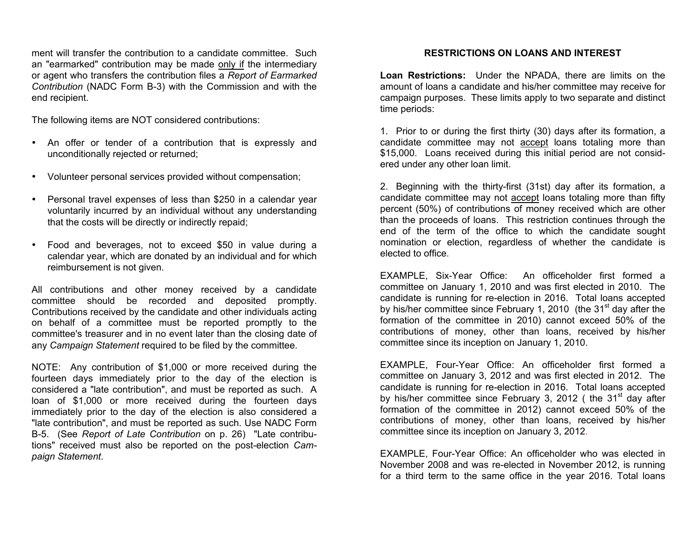ment will transfer the contribution to a candidate committee. Such an "earmarked" contribution may be made only if the intermediary or agent who transfers the contribution files a *Report of Earmarked Contribution* (NADC Form B-3) with the Commission and with the end recipient.

The following items are NOT considered contributions:

- An offer or tender of a contribution that is expressly and unconditionally rejected or returned;
- Volunteer personal services provided without compensation;
- Personal travel expenses of less than \$250 in a calendar year voluntarily incurred by an individual without any understanding that the costs will be directly or indirectly repaid;
- Food and beverages, not to exceed \$50 in value during a calendar year, which are donated by an individual and for which reimbursement is not given.

All contributions and other money received by a candidate committee should be recorded and deposited promptly. Contributions received by the candidate and other individuals acting on behalf of a committee must be reported promptly to the committee's treasurer and in no event later than the closing date of any *Campaign Statement* required to be filed by the committee.

NOTE: Any contribution of \$1,000 or more received during the fourteen days immediately prior to the day of the election is considered a "late contribution", and must be reported as such. A loan of \$1,000 or more received during the fourteen days immediately prior to the day of the election is also considered a "late contribution", and must be reported as such. Use NADC Form B-5. (See *Report of Late Contribution* on p. 26) "Late contributions" received must also be reported on the post-election *Campaign Statement*.

# **RESTRICTIONS ON LOANS AND INTEREST**

**Loan Restrictions:** Under the NPADA, there are limits on the amount of loans a candidate and his/her committee may receive for campaign purposes. These limits apply to two separate and distinct time periods:

1. Prior to or during the first thirty (30) days after its formation, a candidate committee may not accept loans totaling more than \$15,000. Loans received during this initial period are not considered under any other loan limit.

2. Beginning with the thirty-first (31st) day after its formation, a candidate committee may not accept loans totaling more than fifty percent (50%) of contributions of money received which are other than the proceeds of loans. This restriction continues through the end of the term of the office to which the candidate sought nomination or election, regardless of whether the candidate is elected to office.

EXAMPLE, Six-Year Office: An officeholder first formed a committee on January 1, 2010 and was first elected in 2010. The candidate is running for re-election in 2016. Total loans accepted by his/her committee since February 1, 2010 (the  $31<sup>st</sup>$  day after the formation of the committee in 2010) cannot exceed 50% of the contributions of money, other than loans, received by his/her committee since its inception on January 1, 2010.

EXAMPLE, Four-Year Office: An officeholder first formed a committee on January 3, 2012 and was first elected in 2012. The candidate is running for re-election in 2016. Total loans accepted by his/her committee since February 3, 2012 ( the  $31<sup>st</sup>$  day after formation of the committee in 2012) cannot exceed 50% of the contributions of money, other than loans, received by his/her committee since its inception on January 3, 2012.

EXAMPLE, Four-Year Office: An officeholder who was elected in November 2008 and was re-elected in November 2012, is running for a third term to the same office in the year 2016. Total loans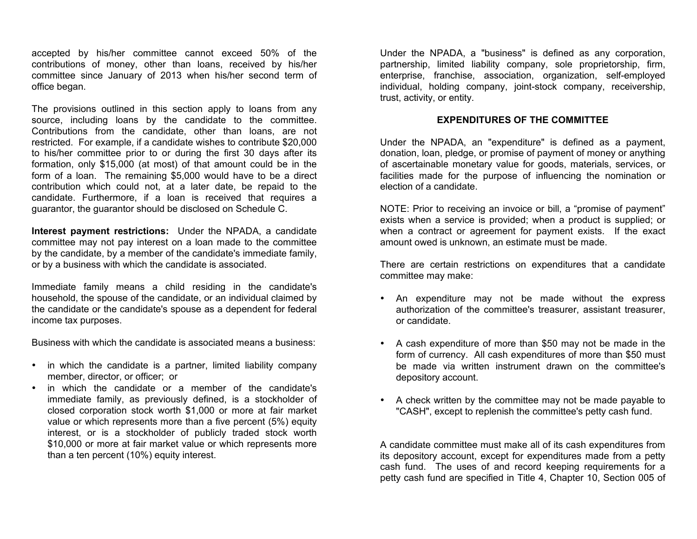accepted by his/her committee cannot exceed 50% of the contributions of money, other than loans, received by his/her committee since January of 2013 when his/her second term of office began.

The provisions outlined in this section apply to loans from any source, including loans by the candidate to the committee. Contributions from the candidate, other than loans, are not restricted. For example, if a candidate wishes to contribute \$20,000 to his/her committee prior to or during the first 30 days after its formation, only \$15,000 (at most) of that amount could be in the form of a loan. The remaining \$5,000 would have to be a direct contribution which could not, at a later date, be repaid to the candidate. Furthermore, if a loan is received that requires a guarantor, the guarantor should be disclosed on Schedule C.

**Interest payment restrictions:** Under the NPADA, a candidate committee may not pay interest on a loan made to the committee by the candidate, by a member of the candidate's immediate family, or by a business with which the candidate is associated.

Immediate family means a child residing in the candidate's household, the spouse of the candidate, or an individual claimed by the candidate or the candidate's spouse as a dependent for federal income tax purposes.

Business with which the candidate is associated means a business:

- in which the candidate is a partner, limited liability company member, director, or officer; or
- in which the candidate or a member of the candidate's immediate family, as previously defined, is a stockholder of closed corporation stock worth \$1,000 or more at fair market value or which represents more than a five percent (5%) equity interest, or is a stockholder of publicly traded stock worth \$10,000 or more at fair market value or which represents more than a ten percent (10%) equity interest.

Under the NPADA, a "business" is defined as any corporation, partnership, limited liability company, sole proprietorship, firm, enterprise, franchise, association, organization, self-employed individual, holding company, joint-stock company, receivership, trust, activity, or entity.

### **EXPENDITURES OF THE COMMITTEE**

Under the NPADA, an "expenditure" is defined as a payment, donation, loan, pledge, or promise of payment of money or anything of ascertainable monetary value for goods, materials, services, or facilities made for the purpose of influencing the nomination or election of a candidate.

NOTE: Prior to receiving an invoice or bill, a "promise of payment" exists when a service is provided; when a product is supplied; or when a contract or agreement for payment exists. If the exact amount owed is unknown, an estimate must be made.

There are certain restrictions on expenditures that a candidate committee may make:

- An expenditure may not be made without the express authorization of the committee's treasurer, assistant treasurer, or candidate.
- A cash expenditure of more than \$50 may not be made in the form of currency. All cash expenditures of more than \$50 must be made via written instrument drawn on the committee's depository account.
- A check written by the committee may not be made payable to "CASH", except to replenish the committee's petty cash fund.

A candidate committee must make all of its cash expenditures from its depository account, except for expenditures made from a petty cash fund. The uses of and record keeping requirements for a petty cash fund are specified in Title 4, Chapter 10, Section 005 of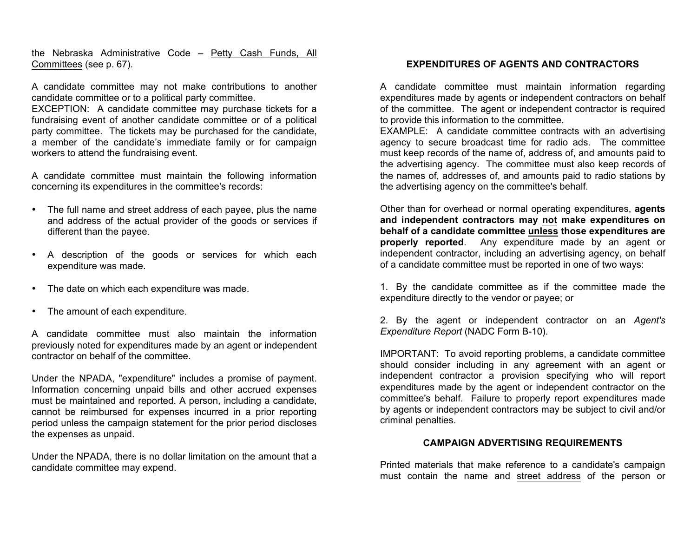the Nebraska Administrative Code – Petty Cash Funds, All Committees (see p. 67).

A candidate committee may not make contributions to another candidate committee or to a political party committee.

EXCEPTION: A candidate committee may purchase tickets for a fundraising event of another candidate committee or of a political party committee. The tickets may be purchased for the candidate, a member of the candidate's immediate family or for campaign workers to attend the fundraising event.

A candidate committee must maintain the following information concerning its expenditures in the committee's records:

- The full name and street address of each payee, plus the name and address of the actual provider of the goods or services if different than the payee.
- A description of the goods or services for which each expenditure was made.
- The date on which each expenditure was made.
- The amount of each expenditure.

A candidate committee must also maintain the information previously noted for expenditures made by an agent or independent contractor on behalf of the committee.

Under the NPADA, "expenditure" includes a promise of payment. Information concerning unpaid bills and other accrued expenses must be maintained and reported. A person, including a candidate, cannot be reimbursed for expenses incurred in a prior reporting period unless the campaign statement for the prior period discloses the expenses as unpaid.

Under the NPADA, there is no dollar limitation on the amount that a candidate committee may expend.

#### **EXPENDITURES OF AGENTS AND CONTRACTORS**

A candidate committee must maintain information regarding expenditures made by agents or independent contractors on behalf of the committee. The agent or independent contractor is required to provide this information to the committee.

EXAMPLE: A candidate committee contracts with an advertising agency to secure broadcast time for radio ads. The committee must keep records of the name of, address of, and amounts paid to the advertising agency. The committee must also keep records of the names of, addresses of, and amounts paid to radio stations by the advertising agency on the committee's behalf.

Other than for overhead or normal operating expenditures, **agents and independent contractors may not make expenditures on behalf of a candidate committee unless those expenditures are properly reported**. Any expenditure made by an agent or independent contractor, including an advertising agency, on behalf of a candidate committee must be reported in one of two ways:

1. By the candidate committee as if the committee made the expenditure directly to the vendor or payee; or

2. By the agent or independent contractor on an *Agent's Expenditure Report* (NADC Form B-10).

IMPORTANT: To avoid reporting problems, a candidate committee should consider including in any agreement with an agent or independent contractor a provision specifying who will report expenditures made by the agent or independent contractor on the committee's behalf. Failure to properly report expenditures made by agents or independent contractors may be subject to civil and/or criminal penalties.

#### **CAMPAIGN ADVERTISING REQUIREMENTS**

Printed materials that make reference to a candidate's campaign must contain the name and street address of the person or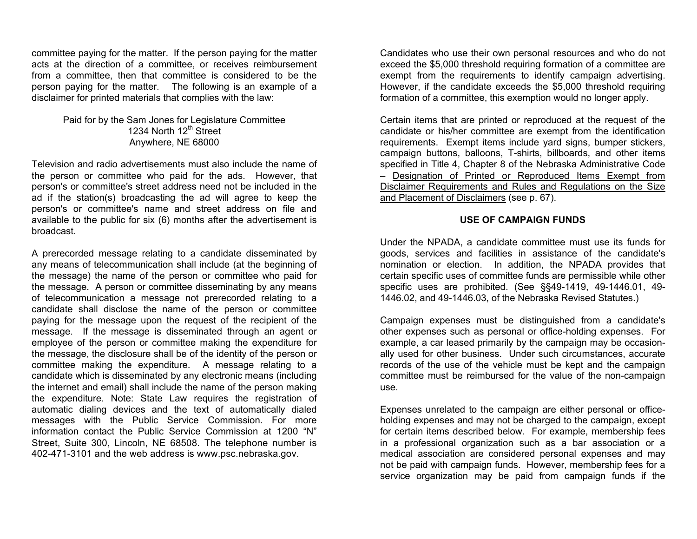committee paying for the matter. If the person paying for the matter acts at the direction of a committee, or receives reimbursement from a committee, then that committee is considered to be the person paying for the matter. The following is an example of a disclaimer for printed materials that complies with the law:

#### Paid for by the Sam Jones for Legislature Committee 1234 North 12<sup>th</sup> Street Anywhere, NE 68000

Television and radio advertisements must also include the name of the person or committee who paid for the ads. However, that person's or committee's street address need not be included in the ad if the station(s) broadcasting the ad will agree to keep the person's or committee's name and street address on file and available to the public for six (6) months after the advertisement is broadcast.

A prerecorded message relating to a candidate disseminated by any means of telecommunication shall include (at the beginning of the message) the name of the person or committee who paid for the message. A person or committee disseminating by any means of telecommunication a message not prerecorded relating to a candidate shall disclose the name of the person or committee paying for the message upon the request of the recipient of the message. If the message is disseminated through an agent or employee of the person or committee making the expenditure for the message, the disclosure shall be of the identity of the person or committee making the expenditure. A message relating to a candidate which is disseminated by any electronic means (including the internet and email) shall include the name of the person making the expenditure. Note: State Law requires the registration of automatic dialing devices and the text of automatically dialed messages with the Public Service Commission. For more information contact the Public Service Commission at 1200 "N" Street, Suite 300, Lincoln, NE 68508. The telephone number is 402-471-3101 and the web address is www.psc.nebraska.gov.

Candidates who use their own personal resources and who do not exceed the \$5,000 threshold requiring formation of a committee are exempt from the requirements to identify campaign advertising. However, if the candidate exceeds the \$5,000 threshold requiring formation of a committee, this exemption would no longer apply.

Certain items that are printed or reproduced at the request of the candidate or his/her committee are exempt from the identification requirements. Exempt items include yard signs, bumper stickers, campaign buttons, balloons, T-shirts, billboards, and other items specified in Title 4, Chapter 8 of the Nebraska Administrative Code – Designation of Printed or Reproduced Items Exempt from Disclaimer Requirements and Rules and Regulations on the Size and Placement of Disclaimers (see p. 67).

#### **USE OF CAMPAIGN FUNDS**

Under the NPADA, a candidate committee must use its funds for goods, services and facilities in assistance of the candidate's nomination or election. In addition, the NPADA provides that certain specific uses of committee funds are permissible while other specific uses are prohibited. (See §§49-1419, 49-1446.01, 49- 1446.02, and 49-1446.03, of the Nebraska Revised Statutes.)

Campaign expenses must be distinguished from a candidate's other expenses such as personal or office-holding expenses. For example, a car leased primarily by the campaign may be occasionally used for other business. Under such circumstances, accurate records of the use of the vehicle must be kept and the campaign committee must be reimbursed for the value of the non-campaign use.

Expenses unrelated to the campaign are either personal or officeholding expenses and may not be charged to the campaign, except for certain items described below. For example, membership fees in a professional organization such as a bar association or a medical association are considered personal expenses and may not be paid with campaign funds. However, membership fees for a service organization may be paid from campaign funds if the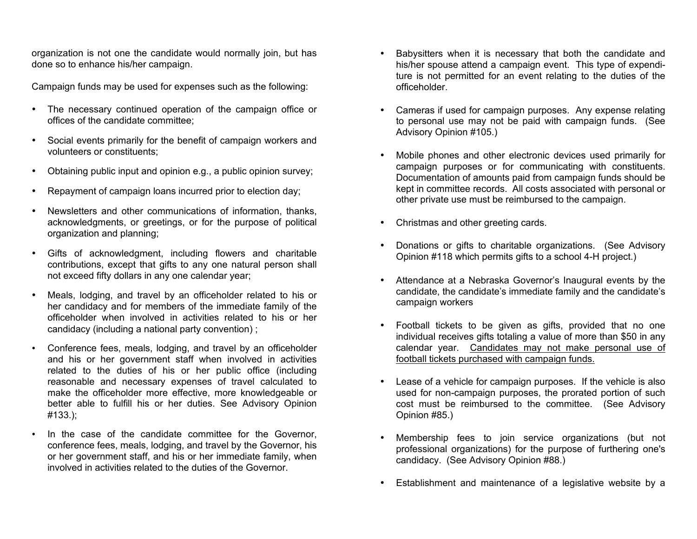organization is not one the candidate would normally join, but has done so to enhance his/her campaign.

Campaign funds may be used for expenses such as the following:

- The necessary continued operation of the campaign office or offices of the candidate committee;
- Social events primarily for the benefit of campaign workers and volunteers or constituents;
- Obtaining public input and opinion e.g., a public opinion survey;
- Repayment of campaign loans incurred prior to election day;
- Newsletters and other communications of information, thanks, acknowledgments, or greetings, or for the purpose of political organization and planning;
- Gifts of acknowledgment, including flowers and charitable contributions, except that gifts to any one natural person shall not exceed fifty dollars in any one calendar year;
- Meals, lodging, and travel by an officeholder related to his or her candidacy and for members of the immediate family of the officeholder when involved in activities related to his or her candidacy (including a national party convention) ;
- Conference fees, meals, lodging, and travel by an officeholder and his or her government staff when involved in activities related to the duties of his or her public office (including reasonable and necessary expenses of travel calculated to make the officeholder more effective, more knowledgeable or better able to fulfill his or her duties. See Advisory Opinion #133.);
- In the case of the candidate committee for the Governor, conference fees, meals, lodging, and travel by the Governor, his or her government staff, and his or her immediate family, when involved in activities related to the duties of the Governor.
- Babysitters when it is necessary that both the candidate and his/her spouse attend a campaign event. This type of expenditure is not permitted for an event relating to the duties of the officeholder.
- Cameras if used for campaign purposes. Any expense relating to personal use may not be paid with campaign funds. (See Advisory Opinion #105.)
- Mobile phones and other electronic devices used primarily for campaign purposes or for communicating with constituents. Documentation of amounts paid from campaign funds should be kept in committee records. All costs associated with personal or other private use must be reimbursed to the campaign.
- Christmas and other greeting cards.
- Donations or gifts to charitable organizations. (See Advisory Opinion #118 which permits gifts to a school 4-H project.)
- Attendance at a Nebraska Governor's Inaugural events by the candidate, the candidate's immediate family and the candidate's campaign workers
- Football tickets to be given as gifts, provided that no one individual receives gifts totaling a value of more than \$50 in any calendar year. Candidates may not make personal use of football tickets purchased with campaign funds.
- Lease of a vehicle for campaign purposes. If the vehicle is also used for non-campaign purposes, the prorated portion of such cost must be reimbursed to the committee. (See Advisory Opinion #85.)
- Membership fees to join service organizations (but not professional organizations) for the purpose of furthering one's candidacy. (See Advisory Opinion #88.)
- Establishment and maintenance of a legislative website by a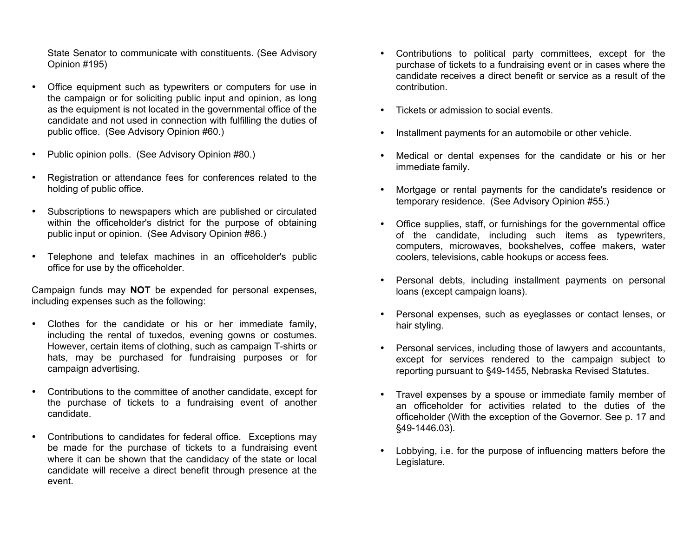State Senator to communicate with constituents. (See Advisory Opinion #195)

- Office equipment such as typewriters or computers for use in the campaign or for soliciting public input and opinion, as long as the equipment is not located in the governmental office of the candidate and not used in connection with fulfilling the duties of public office. (See Advisory Opinion #60.)
- Public opinion polls. (See Advisory Opinion #80.)
- Registration or attendance fees for conferences related to the holding of public office.
- Subscriptions to newspapers which are published or circulated within the officeholder's district for the purpose of obtaining public input or opinion. (See Advisory Opinion #86.)
- Telephone and telefax machines in an officeholder's public office for use by the officeholder.

Campaign funds may **NOT** be expended for personal expenses, including expenses such as the following:

- Clothes for the candidate or his or her immediate family, including the rental of tuxedos, evening gowns or costumes. However, certain items of clothing, such as campaign T-shirts or hats, may be purchased for fundraising purposes or for campaign advertising.
- Contributions to the committee of another candidate, except for the purchase of tickets to a fundraising event of another candidate.
- Contributions to candidates for federal office. Exceptions may be made for the purchase of tickets to a fundraising event where it can be shown that the candidacy of the state or local candidate will receive a direct benefit through presence at the event.
- Contributions to political party committees, except for the purchase of tickets to a fundraising event or in cases where the candidate receives a direct benefit or service as a result of the contribution.
- Tickets or admission to social events.
- Installment payments for an automobile or other vehicle.
- Medical or dental expenses for the candidate or his or her immediate family.
- Mortgage or rental payments for the candidate's residence or temporary residence. (See Advisory Opinion #55.)
- Office supplies, staff, or furnishings for the governmental office of the candidate, including such items as typewriters, computers, microwaves, bookshelves, coffee makers, water coolers, televisions, cable hookups or access fees.
- Personal debts, including installment payments on personal loans (except campaign loans).
- Personal expenses, such as eyeglasses or contact lenses, or hair styling.
- Personal services, including those of lawyers and accountants, except for services rendered to the campaign subject to reporting pursuant to §49-1455, Nebraska Revised Statutes.
- Travel expenses by a spouse or immediate family member of an officeholder for activities related to the duties of the officeholder (With the exception of the Governor. See p. 17 and §49-1446.03).
- Lobbying, i.e. for the purpose of influencing matters before the Legislature.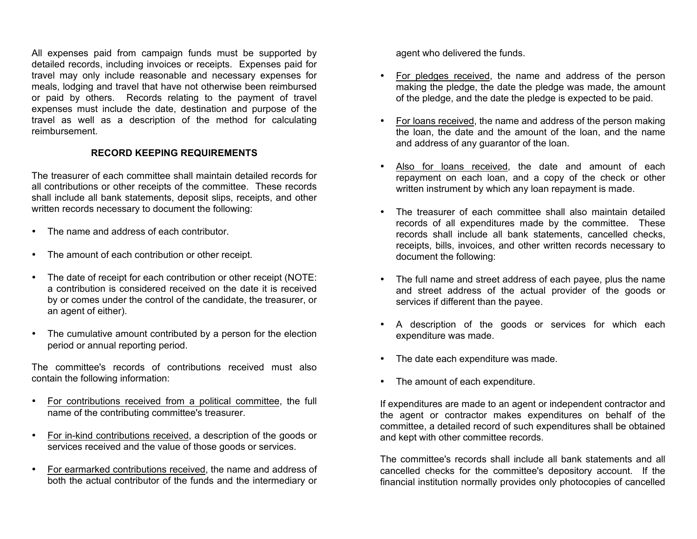All expenses paid from campaign funds must be supported by detailed records, including invoices or receipts. Expenses paid for travel may only include reasonable and necessary expenses for meals, lodging and travel that have not otherwise been reimbursed or paid by others. Records relating to the payment of travel expenses must include the date, destination and purpose of the travel as well as a description of the method for calculating reimbursement.

### **RECORD KEEPING REQUIREMENTS**

The treasurer of each committee shall maintain detailed records for all contributions or other receipts of the committee. These records shall include all bank statements, deposit slips, receipts, and other written records necessary to document the following:

- The name and address of each contributor.
- The amount of each contribution or other receipt.
- The date of receipt for each contribution or other receipt (NOTE: a contribution is considered received on the date it is received by or comes under the control of the candidate, the treasurer, or an agent of either).
- The cumulative amount contributed by a person for the election period or annual reporting period.

The committee's records of contributions received must also contain the following information:

- For contributions received from a political committee, the full name of the contributing committee's treasurer.
- For in-kind contributions received, a description of the goods or services received and the value of those goods or services.
- For earmarked contributions received, the name and address of both the actual contributor of the funds and the intermediary or

agent who delivered the funds.

- For pledges received, the name and address of the person making the pledge, the date the pledge was made, the amount of the pledge, and the date the pledge is expected to be paid.
- For loans received, the name and address of the person making the loan, the date and the amount of the loan, and the name and address of any guarantor of the loan.
- Also for loans received, the date and amount of each repayment on each loan, and a copy of the check or other written instrument by which any loan repayment is made.
- The treasurer of each committee shall also maintain detailed records of all expenditures made by the committee. These records shall include all bank statements, cancelled checks, receipts, bills, invoices, and other written records necessary to document the following:
- The full name and street address of each payee, plus the name and street address of the actual provider of the goods or services if different than the payee.
- A description of the goods or services for which each expenditure was made.
- The date each expenditure was made.
- The amount of each expenditure.

If expenditures are made to an agent or independent contractor and the agent or contractor makes expenditures on behalf of the committee, a detailed record of such expenditures shall be obtained and kept with other committee records.

The committee's records shall include all bank statements and all cancelled checks for the committee's depository account. If the financial institution normally provides only photocopies of cancelled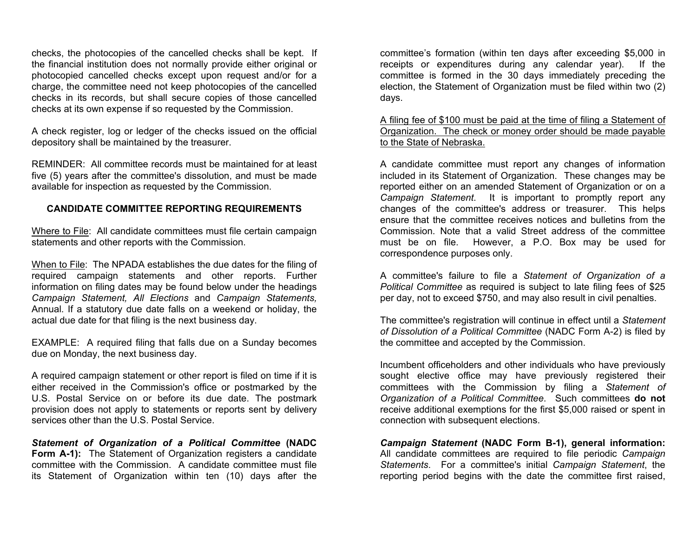checks, the photocopies of the cancelled checks shall be kept. If the financial institution does not normally provide either original or photocopied cancelled checks except upon request and/or for a charge, the committee need not keep photocopies of the cancelled checks in its records, but shall secure copies of those cancelled checks at its own expense if so requested by the Commission.

A check register, log or ledger of the checks issued on the official depository shall be maintained by the treasurer.

REMINDER: All committee records must be maintained for at least five (5) years after the committee's dissolution, and must be made available for inspection as requested by the Commission.

#### **CANDIDATE COMMITTEE REPORTING REQUIREMENTS**

Where to File: All candidate committees must file certain campaign statements and other reports with the Commission.

When to File: The NPADA establishes the due dates for the filing of required campaign statements and other reports. Further information on filing dates may be found below under the headings *Campaign Statement, All Elections* and *Campaign Statements,*  Annual. If a statutory due date falls on a weekend or holiday, the actual due date for that filing is the next business day.

EXAMPLE: A required filing that falls due on a Sunday becomes due on Monday, the next business day.

A required campaign statement or other report is filed on time if it is either received in the Commission's office or postmarked by the U.S. Postal Service on or before its due date. The postmark provision does not apply to statements or reports sent by delivery services other than the U.S. Postal Service.

*Statement of Organization of a Political Committee* **(NADC Form A-1):** The Statement of Organization registers a candidate committee with the Commission. A candidate committee must file its Statement of Organization within ten (10) days after the

committee's formation (within ten days after exceeding \$5,000 in receipts or expenditures during any calendar year). If the committee is formed in the 30 days immediately preceding the election, the Statement of Organization must be filed within two (2) days.

A filing fee of \$100 must be paid at the time of filing a Statement of Organization. The check or money order should be made payable to the State of Nebraska.

A candidate committee must report any changes of information included in its Statement of Organization. These changes may be reported either on an amended Statement of Organization or on a *Campaign Statement*. It is important to promptly report any changes of the committee's address or treasurer. This helps ensure that the committee receives notices and bulletins from the Commission. Note that a valid Street address of the committee must be on file. However, a P.O. Box may be used for correspondence purposes only.

A committee's failure to file a *Statement of Organization of a Political Committee* as required is subject to late filing fees of \$25 per day, not to exceed \$750, and may also result in civil penalties.

The committee's registration will continue in effect until a *Statement of Dissolution of a Political Committee* (NADC Form A-2) is filed by the committee and accepted by the Commission.

Incumbent officeholders and other individuals who have previously sought elective office may have previously registered their committees with the Commission by filing a *Statement of Organization of a Political Committee*. Such committees **do not** receive additional exemptions for the first \$5,000 raised or spent in connection with subsequent elections.

*Campaign Statement* **(NADC Form B-1), general information:** All candidate committees are required to file periodic *Campaign Statements*. For a committee's initial *Campaign Statement*, the reporting period begins with the date the committee first raised,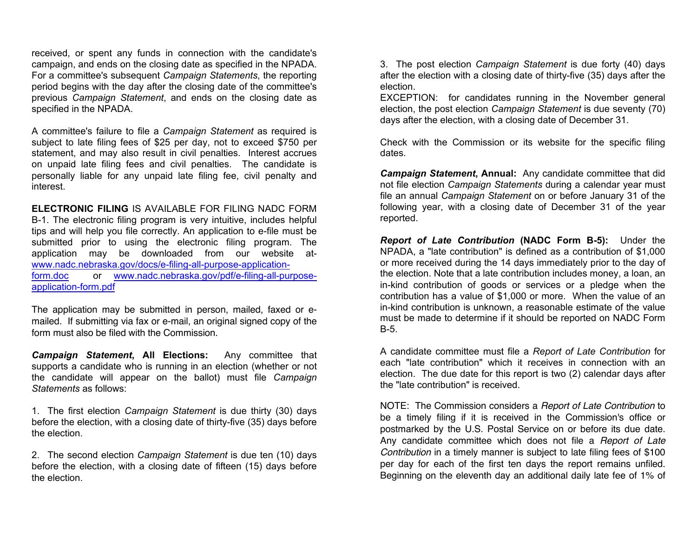received, or spent any funds in connection with the candidate's campaign, and ends on the closing date as specified in the NPADA. For a committee's subsequent *Campaign Statements*, the reporting period begins with the day after the closing date of the committee's previous *Campaign Statement*, and ends on the closing date as specified in the NPADA.

A committee's failure to file a *Campaign Statement* as required is subject to late filing fees of \$25 per day, not to exceed \$750 per statement, and may also result in civil penalties. Interest accrues on unpaid late filing fees and civil penalties. The candidate is personally liable for any unpaid late filing fee, civil penalty and interest.

**ELECTRONIC FILING** IS AVAILABLE FOR FILING NADC FORM B-1. The electronic filing program is very intuitive, includes helpful tips and will help you file correctly. An application to e-file must be submitted prior to using the electronic filing program. The application may be downloaded from our website atwww.nadc.nebraska.gov/docs/e-filing-all-purpose-applicationform.doc or www.nadc.nebraska.gov/pdf/e-filing-all-purposeapplication-form.pdf

The application may be submitted in person, mailed, faxed or emailed. If submitting via fax or e-mail, an original signed copy of the form must also be filed with the Commission.

*Campaign Statement***, All Elections:** Any committee that supports a candidate who is running in an election (whether or not the candidate will appear on the ballot) must file *Campaign Statements* as follows:

1. The first election *Campaign Statement* is due thirty (30) days before the election, with a closing date of thirty-five (35) days before the election.

2. The second election *Campaign Statement* is due ten (10) days before the election, with a closing date of fifteen (15) days before the election.

3. The post election *Campaign Statement* is due forty (40) days after the election with a closing date of thirty-five (35) days after the election.

EXCEPTION: for candidates running in the November general election, the post election *Campaign Statement* is due seventy (70) days after the election, with a closing date of December 31.

Check with the Commission or its website for the specific filing dates.

*Campaign Statement***, Annual:** Any candidate committee that did not file election *Campaign Statements* during a calendar year must file an annual *Campaign Statement* on or before January 31 of the following year, with a closing date of December 31 of the year reported.

*Report of Late Contribution* **(NADC Form B-5):** Under the NPADA, a "late contribution" is defined as a contribution of \$1,000 or more received during the 14 days immediately prior to the day of the election. Note that a late contribution includes money, a loan, an in-kind contribution of goods or services or a pledge when the contribution has a value of \$1,000 or more. When the value of an in-kind contribution is unknown, a reasonable estimate of the value must be made to determine if it should be reported on NADC Form B-5.

A candidate committee must file a *Report of Late Contribution* for each "late contribution" which it receives in connection with an election. The due date for this report is two (2) calendar days after the "late contribution" is received.

NOTE: The Commission considers a *Report of Late Contribution* to be a timely filing if it is received in the Commission's office or postmarked by the U.S. Postal Service on or before its due date. Any candidate committee which does not file a *Report of Late Contribution* in a timely manner is subject to late filing fees of \$100 per day for each of the first ten days the report remains unfiled. Beginning on the eleventh day an additional daily late fee of 1% of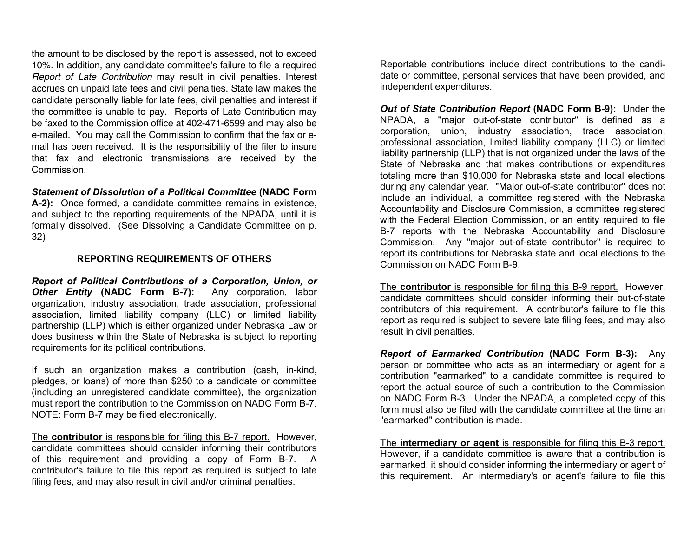the amount to be disclosed by the report is assessed, not to exceed 10%. In addition, any candidate committee's failure to file a required *Report of Late Contribution* may result in civil penalties. Interest accrues on unpaid late fees and civil penalties. State law makes the candidate personally liable for late fees, civil penalties and interest if the committee is unable to pay. Reports of Late Contribution may be faxed to the Commission office at 402-471-6599 and may also be e-mailed. You may call the Commission to confirm that the fax or email has been received. It is the responsibility of the filer to insure that fax and electronic transmissions are received by the Commission.

# *Statement of Dissolution of a Political Committee* **(NADC Form**

**A-2):** Once formed, a candidate committee remains in existence, and subject to the reporting requirements of the NPADA, until it is formally dissolved. (See Dissolving a Candidate Committee on p. 32)

### **REPORTING REQUIREMENTS OF OTHERS**

*Report of Political Contributions of a Corporation, Union, or Other Entity* **(NADC Form B-7):** Any corporation, labor organization, industry association, trade association, professional association, limited liability company (LLC) or limited liability partnership (LLP) which is either organized under Nebraska Law or does business within the State of Nebraska is subject to reporting requirements for its political contributions.

If such an organization makes a contribution (cash, in-kind, pledges, or loans) of more than \$250 to a candidate or committee (including an unregistered candidate committee), the organization must report the contribution to the Commission on NADC Form B-7. NOTE: Form B-7 may be filed electronically.

The **contributor** is responsible for filing this B-7 report. However, candidate committees should consider informing their contributors of this requirement and providing a copy of Form B-7. A contributor's failure to file this report as required is subject to late filing fees, and may also result in civil and/or criminal penalties.

Reportable contributions include direct contributions to the candidate or committee, personal services that have been provided, and independent expenditures.

*Out of State Contribution Report* **(NADC Form B-9):** Under the NPADA, a "major out-of-state contributor" is defined as a corporation, union, industry association, trade association, professional association, limited liability company (LLC) or limited liability partnership (LLP) that is not organized under the laws of the State of Nebraska and that makes contributions or expenditures totaling more than \$10,000 for Nebraska state and local elections during any calendar year. "Major out-of-state contributor" does not include an individual, a committee registered with the Nebraska Accountability and Disclosure Commission, a committee registered with the Federal Election Commission, or an entity required to file B-7 reports with the Nebraska Accountability and Disclosure Commission. Any "major out-of-state contributor" is required to report its contributions for Nebraska state and local elections to the Commission on NADC Form B-9.

The **contributor** is responsible for filing this B-9 report. However, candidate committees should consider informing their out-of-state contributors of this requirement. A contributor's failure to file this report as required is subject to severe late filing fees, and may also result in civil penalties.

*Report of Earmarked Contribution* **(NADC Form B-3):** Any person or committee who acts as an intermediary or agent for a contribution "earmarked" to a candidate committee is required to report the actual source of such a contribution to the Commission on NADC Form B-3. Under the NPADA, a completed copy of this form must also be filed with the candidate committee at the time an "earmarked" contribution is made.

The **intermediary or agent** is responsible for filing this B-3 report. However, if a candidate committee is aware that a contribution is earmarked, it should consider informing the intermediary or agent of this requirement. An intermediary's or agent's failure to file this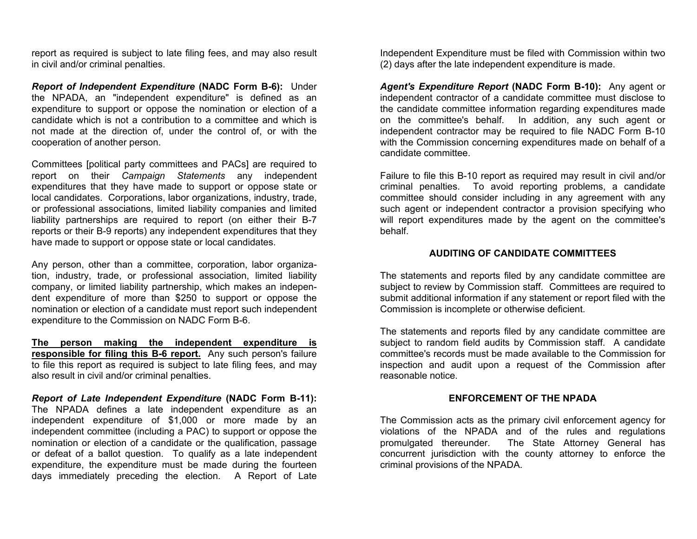report as required is subject to late filing fees, and may also result in civil and/or criminal penalties.

*Report of Independent Expenditure* **(NADC Form B-6):** Under the NPADA, an "independent expenditure" is defined as an expenditure to support or oppose the nomination or election of a candidate which is not a contribution to a committee and which is not made at the direction of, under the control of, or with the cooperation of another person.

Committees [political party committees and PACs] are required to report on their *Campaign Statements* any independent expenditures that they have made to support or oppose state or local candidates. Corporations, labor organizations, industry, trade, or professional associations, limited liability companies and limited liability partnerships are required to report (on either their B-7 reports or their B-9 reports) any independent expenditures that they have made to support or oppose state or local candidates.

Any person, other than a committee, corporation, labor organization, industry, trade, or professional association, limited liability company, or limited liability partnership, which makes an independent expenditure of more than \$250 to support or oppose the nomination or election of a candidate must report such independent expenditure to the Commission on NADC Form B-6.

**The person making the independent expenditure is responsible for filing this B-6 report.** Any such person's failure to file this report as required is subject to late filing fees, and may also result in civil and/or criminal penalties.

*Report of Late Independent Expenditure* **(NADC Form B-11):** The NPADA defines a late independent expenditure as an independent expenditure of \$1,000 or more made by an independent committee (including a PAC) to support or oppose the nomination or election of a candidate or the qualification, passage or defeat of a ballot question. To qualify as a late independent expenditure, the expenditure must be made during the fourteen days immediately preceding the election. A Report of Late

Independent Expenditure must be filed with Commission within two (2) days after the late independent expenditure is made.

*Agent's Expenditure Report* **(NADC Form B-10):** Any agent or independent contractor of a candidate committee must disclose to the candidate committee information regarding expenditures made on the committee's behalf. In addition, any such agent or independent contractor may be required to file NADC Form B-10 with the Commission concerning expenditures made on behalf of a candidate committee.

Failure to file this B-10 report as required may result in civil and/or criminal penalties. To avoid reporting problems, a candidate committee should consider including in any agreement with any such agent or independent contractor a provision specifying who will report expenditures made by the agent on the committee's behalf.

#### **AUDITING OF CANDIDATE COMMITTEES**

The statements and reports filed by any candidate committee are subject to review by Commission staff. Committees are required to submit additional information if any statement or report filed with the Commission is incomplete or otherwise deficient.

The statements and reports filed by any candidate committee are subject to random field audits by Commission staff. A candidate committee's records must be made available to the Commission for inspection and audit upon a request of the Commission after reasonable notice.

#### **ENFORCEMENT OF THE NPADA**

The Commission acts as the primary civil enforcement agency for violations of the NPADA and of the rules and regulations promulgated thereunder. The State Attorney General has concurrent jurisdiction with the county attorney to enforce the criminal provisions of the NPADA.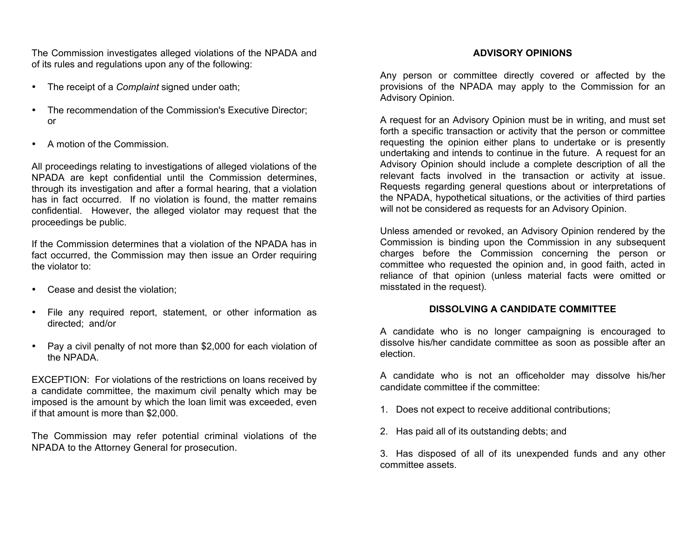The Commission investigates alleged violations of the NPADA and of its rules and regulations upon any of the following:

- The receipt of a *Complaint* signed under oath;
- The recommendation of the Commission's Executive Director; or
- A motion of the Commission.

All proceedings relating to investigations of alleged violations of the NPADA are kept confidential until the Commission determines, through its investigation and after a formal hearing, that a violation has in fact occurred. If no violation is found, the matter remains confidential. However, the alleged violator may request that the proceedings be public.

If the Commission determines that a violation of the NPADA has in fact occurred, the Commission may then issue an Order requiring the violator to:

- Cease and desist the violation;
- File any required report, statement, or other information as directed; and/or
- Pay a civil penalty of not more than \$2,000 for each violation of the NPADA.

EXCEPTION: For violations of the restrictions on loans received by a candidate committee, the maximum civil penalty which may be imposed is the amount by which the loan limit was exceeded, even if that amount is more than \$2,000.

The Commission may refer potential criminal violations of the NPADA to the Attorney General for prosecution.

### **ADVISORY OPINIONS**

Any person or committee directly covered or affected by the provisions of the NPADA may apply to the Commission for an Advisory Opinion.

A request for an Advisory Opinion must be in writing, and must set forth a specific transaction or activity that the person or committee requesting the opinion either plans to undertake or is presently undertaking and intends to continue in the future. A request for an Advisory Opinion should include a complete description of all the relevant facts involved in the transaction or activity at issue. Requests regarding general questions about or interpretations of the NPADA, hypothetical situations, or the activities of third parties will not be considered as requests for an Advisory Opinion.

Unless amended or revoked, an Advisory Opinion rendered by the Commission is binding upon the Commission in any subsequent charges before the Commission concerning the person or committee who requested the opinion and, in good faith, acted in reliance of that opinion (unless material facts were omitted or misstated in the request).

### **DISSOLVING A CANDIDATE COMMITTEE**

A candidate who is no longer campaigning is encouraged to dissolve his/her candidate committee as soon as possible after an election.

A candidate who is not an officeholder may dissolve his/her candidate committee if the committee:

- 1. Does not expect to receive additional contributions;
- 2. Has paid all of its outstanding debts; and

3. Has disposed of all of its unexpended funds and any other committee assets.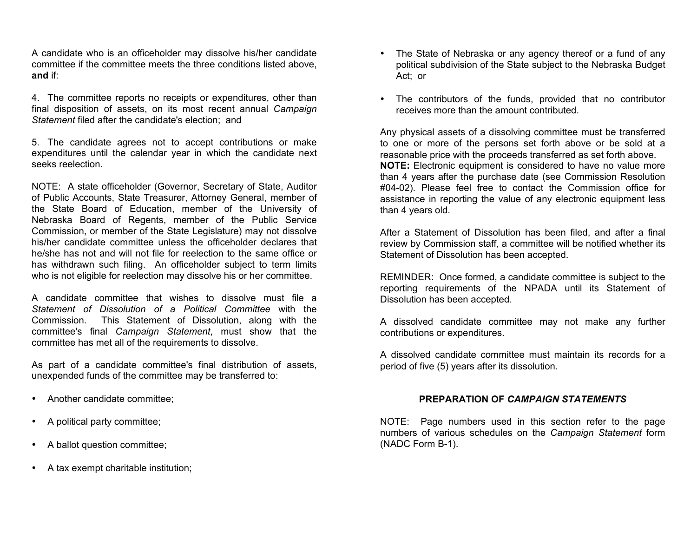A candidate who is an officeholder may dissolve his/her candidate committee if the committee meets the three conditions listed above, **and** if:

4. The committee reports no receipts or expenditures, other than final disposition of assets, on its most recent annual *Campaign Statement* filed after the candidate's election; and

5. The candidate agrees not to accept contributions or make expenditures until the calendar year in which the candidate next seeks reelection.

NOTE: A state officeholder (Governor, Secretary of State, Auditor of Public Accounts, State Treasurer, Attorney General, member of the State Board of Education, member of the University of Nebraska Board of Regents, member of the Public Service Commission, or member of the State Legislature) may not dissolve his/her candidate committee unless the officeholder declares that he/she has not and will not file for reelection to the same office or has withdrawn such filing. An officeholder subject to term limits who is not eligible for reelection may dissolve his or her committee.

A candidate committee that wishes to dissolve must file a *Statement of Dissolution of a Political Committee* with the Commission. This Statement of Dissolution, along with the committee's final *Campaign Statement*, must show that the committee has met all of the requirements to dissolve.

As part of a candidate committee's final distribution of assets, unexpended funds of the committee may be transferred to:

- Another candidate committee;
- A political party committee;
- A ballot question committee;
- A tax exempt charitable institution;
- The State of Nebraska or any agency thereof or a fund of any political subdivision of the State subject to the Nebraska Budget Act; or
- The contributors of the funds, provided that no contributor receives more than the amount contributed.

Any physical assets of a dissolving committee must be transferred to one or more of the persons set forth above or be sold at a reasonable price with the proceeds transferred as set forth above. **NOTE:** Electronic equipment is considered to have no value more than 4 years after the purchase date (see Commission Resolution #04-02). Please feel free to contact the Commission office for assistance in reporting the value of any electronic equipment less than 4 years old.

After a Statement of Dissolution has been filed, and after a final review by Commission staff, a committee will be notified whether its Statement of Dissolution has been accepted.

REMINDER: Once formed, a candidate committee is subject to the reporting requirements of the NPADA until its Statement of Dissolution has been accepted.

A dissolved candidate committee may not make any further contributions or expenditures.

A dissolved candidate committee must maintain its records for a period of five (5) years after its dissolution.

#### **PREPARATION OF** *CAMPAIGN STATEMENTS*

NOTE: Page numbers used in this section refer to the page numbers of various schedules on the *Campaign Statement* form (NADC Form B-1).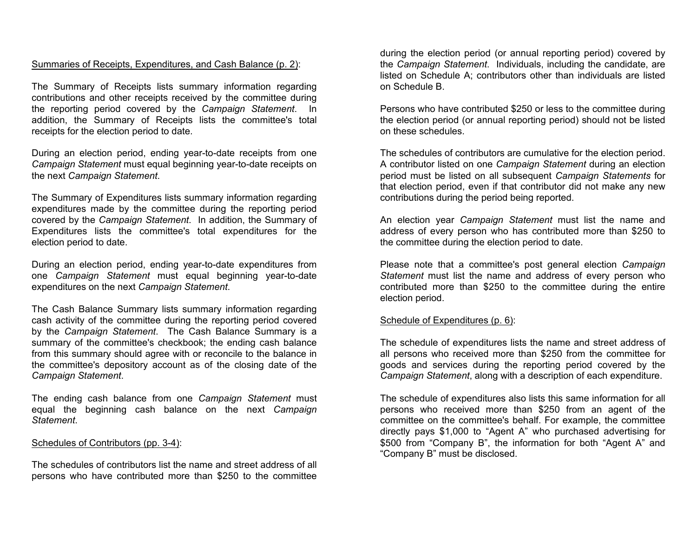### Summaries of Receipts, Expenditures, and Cash Balance (p. 2):

The Summary of Receipts lists summary information regarding contributions and other receipts received by the committee during the reporting period covered by the *Campaign Statement*. In addition, the Summary of Receipts lists the committee's total receipts for the election period to date.

During an election period, ending year-to-date receipts from one *Campaign Statement* must equal beginning year-to-date receipts on the next *Campaign Statement*.

The Summary of Expenditures lists summary information regarding expenditures made by the committee during the reporting period covered by the *Campaign Statement*. In addition, the Summary of Expenditures lists the committee's total expenditures for the election period to date.

During an election period, ending year-to-date expenditures from one *Campaign Statement* must equal beginning year-to-date expenditures on the next *Campaign Statement*.

The Cash Balance Summary lists summary information regarding cash activity of the committee during the reporting period covered by the *Campaign Statement*. The Cash Balance Summary is a summary of the committee's checkbook; the ending cash balance from this summary should agree with or reconcile to the balance in the committee's depository account as of the closing date of the *Campaign Statement*.

The ending cash balance from one *Campaign Statement* must equal the beginning cash balance on the next *Campaign Statement*.

#### Schedules of Contributors (pp. 3-4):

The schedules of contributors list the name and street address of all persons who have contributed more than \$250 to the committee

during the election period (or annual reporting period) covered by the *Campaign Statement*. Individuals, including the candidate, are listed on Schedule A; contributors other than individuals are listed on Schedule B.

Persons who have contributed \$250 or less to the committee during the election period (or annual reporting period) should not be listed on these schedules.

The schedules of contributors are cumulative for the election period. A contributor listed on one *Campaign Statement* during an election period must be listed on all subsequent *Campaign Statements* for that election period, even if that contributor did not make any new contributions during the period being reported.

An election year *Campaign Statement* must list the name and address of every person who has contributed more than \$250 to the committee during the election period to date.

Please note that a committee's post general election *Campaign Statement* must list the name and address of every person who contributed more than \$250 to the committee during the entire election period.

#### Schedule of Expenditures (p. 6):

The schedule of expenditures lists the name and street address of all persons who received more than \$250 from the committee for goods and services during the reporting period covered by the *Campaign Statement*, along with a description of each expenditure.

The schedule of expenditures also lists this same information for all persons who received more than \$250 from an agent of the committee on the committee's behalf. For example, the committee directly pays \$1,000 to "Agent A" who purchased advertising for \$500 from "Company B", the information for both "Agent A" and "Company B" must be disclosed.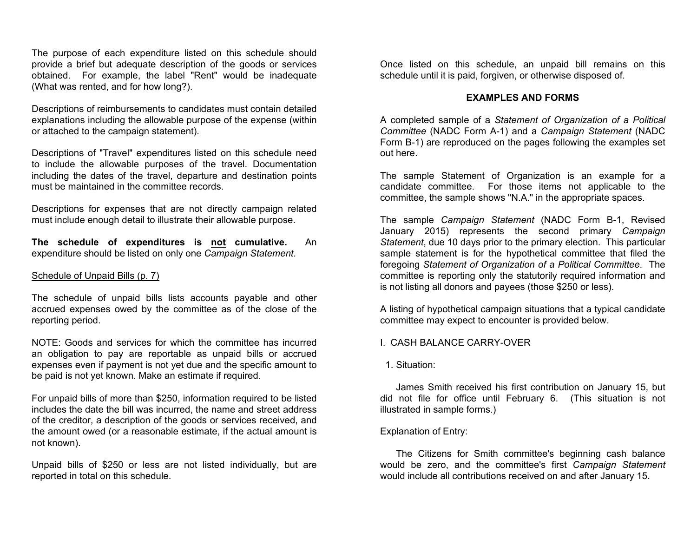The purpose of each expenditure listed on this schedule should provide a brief but adequate description of the goods or services obtained. For example, the label "Rent" would be inadequate (What was rented, and for how long?).

Descriptions of reimbursements to candidates must contain detailed explanations including the allowable purpose of the expense (within or attached to the campaign statement).

Descriptions of "Travel" expenditures listed on this schedule need to include the allowable purposes of the travel. Documentation including the dates of the travel, departure and destination points must be maintained in the committee records.

Descriptions for expenses that are not directly campaign related must include enough detail to illustrate their allowable purpose.

**The schedule of expenditures is not cumulative.** An expenditure should be listed on only one *Campaign Statement*.

#### Schedule of Unpaid Bills (p. 7)

The schedule of unpaid bills lists accounts payable and other accrued expenses owed by the committee as of the close of the reporting period.

NOTE: Goods and services for which the committee has incurred an obligation to pay are reportable as unpaid bills or accrued expenses even if payment is not yet due and the specific amount to be paid is not yet known. Make an estimate if required.

For unpaid bills of more than \$250, information required to be listed includes the date the bill was incurred, the name and street address of the creditor, a description of the goods or services received, and the amount owed (or a reasonable estimate, if the actual amount is not known).

Unpaid bills of \$250 or less are not listed individually, but are reported in total on this schedule.

Once listed on this schedule, an unpaid bill remains on this schedule until it is paid, forgiven, or otherwise disposed of.

#### **EXAMPLES AND FORMS**

A completed sample of a *Statement of Organization of a Political Committee* (NADC Form A-1) and a *Campaign Statement* (NADC Form B-1) are reproduced on the pages following the examples set out here.

The sample Statement of Organization is an example for a candidate committee. For those items not applicable to the committee, the sample shows "N.A." in the appropriate spaces.

The sample *Campaign Statement* (NADC Form B-1, Revised January 2015) represents the second primary *Campaign Statement*, due 10 days prior to the primary election. This particular sample statement is for the hypothetical committee that filed the foregoing *Statement of Organization of a Political Committee*. The committee is reporting only the statutorily required information and is not listing all donors and payees (those \$250 or less).

A listing of hypothetical campaign situations that a typical candidate committee may expect to encounter is provided below.

### I. CASH BALANCE CARRY-OVER

#### 1. Situation:

James Smith received his first contribution on January 15, but did not file for office until February 6. (This situation is not illustrated in sample forms.)

#### Explanation of Entry:

The Citizens for Smith committee's beginning cash balance would be zero, and the committee's first *Campaign Statement* would include all contributions received on and after January 15.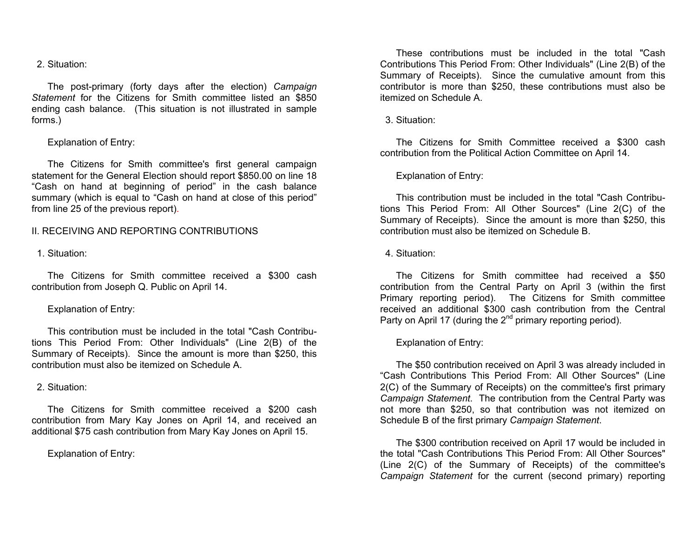#### 2. Situation:

The post-primary (forty days after the election) *Campaign Statement* for the Citizens for Smith committee listed an \$850 ending cash balance. (This situation is not illustrated in sample forms.)

#### Explanation of Entry:

The Citizens for Smith committee's first general campaign statement for the General Election should report \$850.00 on line 18 "Cash on hand at beginning of period" in the cash balance summary (which is equal to "Cash on hand at close of this period" from line 25 of the previous report).

#### II. RECEIVING AND REPORTING CONTRIBUTIONS

#### 1. Situation:

The Citizens for Smith committee received a \$300 cash contribution from Joseph Q. Public on April 14.

#### Explanation of Entry:

This contribution must be included in the total "Cash Contributions This Period From: Other Individuals" (Line 2(B) of the Summary of Receipts). Since the amount is more than \$250, this contribution must also be itemized on Schedule A.

#### 2. Situation:

The Citizens for Smith committee received a \$200 cash contribution from Mary Kay Jones on April 14, and received an additional \$75 cash contribution from Mary Kay Jones on April 15.

Explanation of Entry:

These contributions must be included in the total "Cash Contributions This Period From: Other Individuals" (Line 2(B) of the Summary of Receipts). Since the cumulative amount from this contributor is more than \$250, these contributions must also be itemized on Schedule A.

#### 3. Situation:

The Citizens for Smith Committee received a \$300 cash contribution from the Political Action Committee on April 14.

#### Explanation of Entry:

This contribution must be included in the total "Cash Contributions This Period From: All Other Sources" (Line 2(C) of the Summary of Receipts). Since the amount is more than \$250, this contribution must also be itemized on Schedule B.

#### 4. Situation:

The Citizens for Smith committee had received a \$50 contribution from the Central Party on April 3 (within the first Primary reporting period). The Citizens for Smith committee received an additional \$300 cash contribution from the Central Party on April 17 (during the 2<sup>nd</sup> primary reporting period).

#### Explanation of Entry:

The \$50 contribution received on April 3 was already included in "Cash Contributions This Period From: All Other Sources" (Line 2(C) of the Summary of Receipts) on the committee's first primary *Campaign Statement*. The contribution from the Central Party was not more than \$250, so that contribution was not itemized on Schedule B of the first primary *Campaign Statement*.

The \$300 contribution received on April 17 would be included in the total "Cash Contributions This Period From: All Other Sources" (Line 2(C) of the Summary of Receipts) of the committee's *Campaign Statement* for the current (second primary) reporting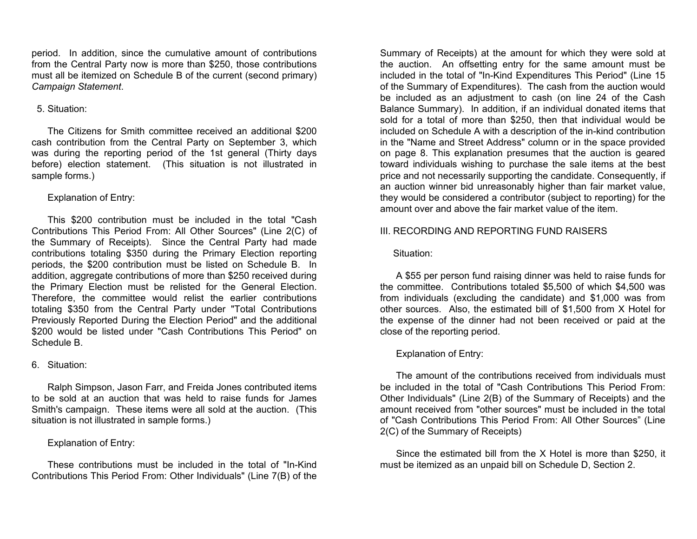period. In addition, since the cumulative amount of contributions from the Central Party now is more than \$250, those contributions must all be itemized on Schedule B of the current (second primary) *Campaign Statement*.

### 5. Situation:

The Citizens for Smith committee received an additional \$200 cash contribution from the Central Party on September 3, which was during the reporting period of the 1st general (Thirty days before) election statement. (This situation is not illustrated in sample forms.)

### Explanation of Entry:

This \$200 contribution must be included in the total "Cash Contributions This Period From: All Other Sources" (Line 2(C) of the Summary of Receipts). Since the Central Party had made contributions totaling \$350 during the Primary Election reporting periods, the \$200 contribution must be listed on Schedule B. In addition, aggregate contributions of more than \$250 received during the Primary Election must be relisted for the General Election. Therefore, the committee would relist the earlier contributions totaling \$350 from the Central Party under "Total Contributions Previously Reported During the Election Period" and the additional \$200 would be listed under "Cash Contributions This Period" on Schedule B.

### 6. Situation:

Ralph Simpson, Jason Farr, and Freida Jones contributed items to be sold at an auction that was held to raise funds for James Smith's campaign. These items were all sold at the auction. (This situation is not illustrated in sample forms.)

# Explanation of Entry:

These contributions must be included in the total of "In-Kind Contributions This Period From: Other Individuals" (Line 7(B) of the

Summary of Receipts) at the amount for which they were sold at the auction. An offsetting entry for the same amount must be included in the total of "In-Kind Expenditures This Period" (Line 15 of the Summary of Expenditures). The cash from the auction would be included as an adjustment to cash (on line 24 of the Cash Balance Summary). In addition, if an individual donated items that sold for a total of more than \$250, then that individual would be included on Schedule A with a description of the in-kind contribution in the "Name and Street Address" column or in the space provided on page 8. This explanation presumes that the auction is geared toward individuals wishing to purchase the sale items at the best price and not necessarily supporting the candidate. Consequently, if an auction winner bid unreasonably higher than fair market value, they would be considered a contributor (subject to reporting) for the amount over and above the fair market value of the item.

### III. RECORDING AND REPORTING FUND RAISERS

### Situation:

A \$55 per person fund raising dinner was held to raise funds for the committee. Contributions totaled \$5,500 of which \$4,500 was from individuals (excluding the candidate) and \$1,000 was from other sources. Also, the estimated bill of \$1,500 from X Hotel for the expense of the dinner had not been received or paid at the close of the reporting period.

# Explanation of Entry:

The amount of the contributions received from individuals must be included in the total of "Cash Contributions This Period From: Other Individuals" (Line 2(B) of the Summary of Receipts) and the amount received from "other sources" must be included in the total of "Cash Contributions This Period From: All Other Sources" (Line 2(C) of the Summary of Receipts)

Since the estimated bill from the X Hotel is more than \$250, it must be itemized as an unpaid bill on Schedule D, Section 2.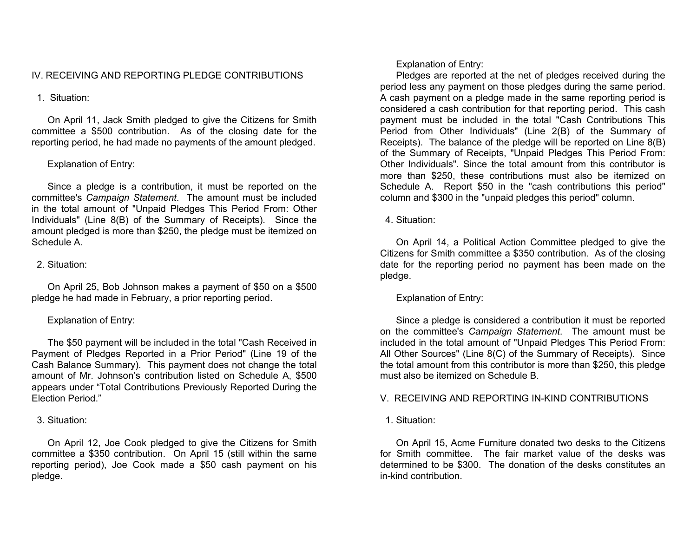### IV. RECEIVING AND REPORTING PLEDGE CONTRIBUTIONS

### 1. Situation:

On April 11, Jack Smith pledged to give the Citizens for Smith committee a \$500 contribution. As of the closing date for the reporting period, he had made no payments of the amount pledged.

### Explanation of Entry:

Since a pledge is a contribution, it must be reported on the committee's *Campaign Statement*. The amount must be included in the total amount of "Unpaid Pledges This Period From: Other Individuals" (Line 8(B) of the Summary of Receipts). Since the amount pledged is more than \$250, the pledge must be itemized on Schedule A.

### 2. Situation:

On April 25, Bob Johnson makes a payment of \$50 on a \$500 pledge he had made in February, a prior reporting period.

### Explanation of Entry:

The \$50 payment will be included in the total "Cash Received in Payment of Pledges Reported in a Prior Period" (Line 19 of the Cash Balance Summary). This payment does not change the total amount of Mr. Johnson's contribution listed on Schedule A, \$500 appears under "Total Contributions Previously Reported During the Election Period."

#### 3. Situation:

On April 12, Joe Cook pledged to give the Citizens for Smith committee a \$350 contribution. On April 15 (still within the same reporting period), Joe Cook made a \$50 cash payment on his pledge.

Explanation of Entry:

Pledges are reported at the net of pledges received during the period less any payment on those pledges during the same period. A cash payment on a pledge made in the same reporting period is considered a cash contribution for that reporting period. This cash payment must be included in the total "Cash Contributions This Period from Other Individuals" (Line 2(B) of the Summary of Receipts). The balance of the pledge will be reported on Line 8(B) of the Summary of Receipts, "Unpaid Pledges This Period From: Other Individuals". Since the total amount from this contributor is more than \$250, these contributions must also be itemized on Schedule A. Report \$50 in the "cash contributions this period" column and \$300 in the "unpaid pledges this period" column.

4. Situation:

On April 14, a Political Action Committee pledged to give the Citizens for Smith committee a \$350 contribution. As of the closing date for the reporting period no payment has been made on the pledge.

Explanation of Entry:

Since a pledge is considered a contribution it must be reported on the committee's *Campaign Statement*. The amount must be included in the total amount of "Unpaid Pledges This Period From: All Other Sources" (Line 8(C) of the Summary of Receipts). Since the total amount from this contributor is more than \$250, this pledge must also be itemized on Schedule B.

### V. RECEIVING AND REPORTING IN-KIND CONTRIBUTIONS

1. Situation:

On April 15, Acme Furniture donated two desks to the Citizens for Smith committee. The fair market value of the desks was determined to be \$300. The donation of the desks constitutes an in-kind contribution.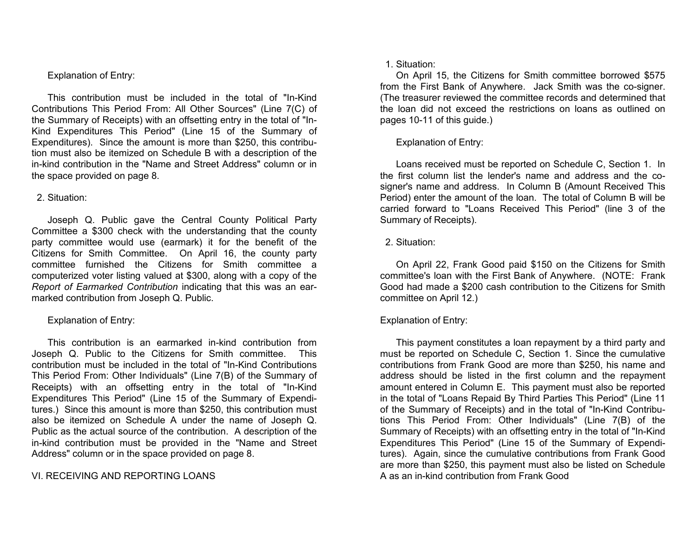### Explanation of Entry:

This contribution must be included in the total of "In-Kind Contributions This Period From: All Other Sources" (Line 7(C) of the Summary of Receipts) with an offsetting entry in the total of "In-Kind Expenditures This Period" (Line 15 of the Summary of Expenditures). Since the amount is more than \$250, this contribution must also be itemized on Schedule B with a description of the in-kind contribution in the "Name and Street Address" column or in the space provided on page 8.

### 2. Situation:

Joseph Q. Public gave the Central County Political Party Committee a \$300 check with the understanding that the county party committee would use (earmark) it for the benefit of the Citizens for Smith Committee. On April 16, the county party committee furnished the Citizens for Smith committee a computerized voter listing valued at \$300, along with a copy of the *Report of Earmarked Contribution* indicating that this was an earmarked contribution from Joseph Q. Public.

### Explanation of Entry:

This contribution is an earmarked in-kind contribution from Joseph Q. Public to the Citizens for Smith committee. This contribution must be included in the total of "In-Kind Contributions This Period From: Other Individuals" (Line 7(B) of the Summary of Receipts) with an offsetting entry in the total of "In-Kind Expenditures This Period" (Line 15 of the Summary of Expenditures.) Since this amount is more than \$250, this contribution must also be itemized on Schedule A under the name of Joseph Q. Public as the actual source of the contribution. A description of the in-kind contribution must be provided in the "Name and Street Address" column or in the space provided on page 8.

# VI. RECEIVING AND REPORTING LOANS

### 1. Situation:

On April 15, the Citizens for Smith committee borrowed \$575 from the First Bank of Anywhere. Jack Smith was the co-signer. (The treasurer reviewed the committee records and determined that the loan did not exceed the restrictions on loans as outlined on pages 10-11 of this guide.)

# Explanation of Entry:

Loans received must be reported on Schedule C, Section 1. In the first column list the lender's name and address and the cosigner's name and address. In Column B (Amount Received This Period) enter the amount of the loan. The total of Column B will be carried forward to "Loans Received This Period" (line 3 of the Summary of Receipts).

### 2. Situation:

On April 22, Frank Good paid \$150 on the Citizens for Smith committee's loan with the First Bank of Anywhere. (NOTE: Frank Good had made a \$200 cash contribution to the Citizens for Smith committee on April 12.)

# Explanation of Entry:

This payment constitutes a loan repayment by a third party and must be reported on Schedule C, Section 1. Since the cumulative contributions from Frank Good are more than \$250, his name and address should be listed in the first column and the repayment amount entered in Column E. This payment must also be reported in the total of "Loans Repaid By Third Parties This Period" (Line 11 of the Summary of Receipts) and in the total of "In-Kind Contributions This Period From: Other Individuals" (Line 7(B) of the Summary of Receipts) with an offsetting entry in the total of "In-Kind Expenditures This Period" (Line 15 of the Summary of Expenditures). Again, since the cumulative contributions from Frank Good are more than \$250, this payment must also be listed on Schedule A as an in-kind contribution from Frank Good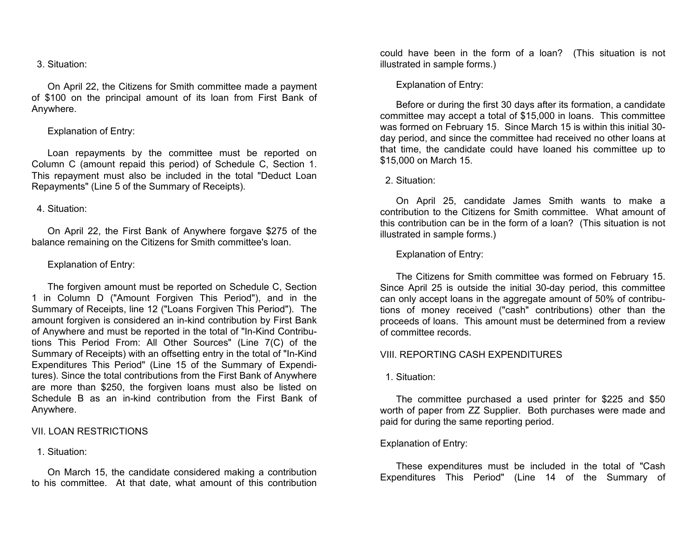#### 3. Situation:

On April 22, the Citizens for Smith committee made a payment of \$100 on the principal amount of its loan from First Bank of Anywhere.

### Explanation of Entry:

Loan repayments by the committee must be reported on Column C (amount repaid this period) of Schedule C, Section 1. This repayment must also be included in the total "Deduct Loan Repayments" (Line 5 of the Summary of Receipts).

#### 4. Situation:

On April 22, the First Bank of Anywhere forgave \$275 of the balance remaining on the Citizens for Smith committee's loan.

#### Explanation of Entry:

The forgiven amount must be reported on Schedule C, Section 1 in Column D ("Amount Forgiven This Period"), and in the Summary of Receipts, line 12 ("Loans Forgiven This Period"). The amount forgiven is considered an in-kind contribution by First Bank of Anywhere and must be reported in the total of "In-Kind Contributions This Period From: All Other Sources" (Line 7(C) of the Summary of Receipts) with an offsetting entry in the total of "In-Kind Expenditures This Period" (Line 15 of the Summary of Expenditures). Since the total contributions from the First Bank of Anywhere are more than \$250, the forgiven loans must also be listed on Schedule B as an in-kind contribution from the First Bank of Anywhere.

#### VII. LOAN RESTRICTIONS

#### 1. Situation:

On March 15, the candidate considered making a contribution to his committee. At that date, what amount of this contribution

could have been in the form of a loan? (This situation is not illustrated in sample forms.)

#### Explanation of Entry:

Before or during the first 30 days after its formation, a candidate committee may accept a total of \$15,000 in loans. This committee was formed on February 15. Since March 15 is within this initial 30 day period, and since the committee had received no other loans at that time, the candidate could have loaned his committee up to \$15,000 on March 15.

#### 2. Situation:

On April 25, candidate James Smith wants to make a contribution to the Citizens for Smith committee. What amount of this contribution can be in the form of a loan? (This situation is not illustrated in sample forms.)

Explanation of Entry:

The Citizens for Smith committee was formed on February 15. Since April 25 is outside the initial 30-day period, this committee can only accept loans in the aggregate amount of 50% of contributions of money received ("cash" contributions) other than the proceeds of loans. This amount must be determined from a review of committee records.

#### VIII. REPORTING CASH EXPENDITURES

#### 1. Situation:

The committee purchased a used printer for \$225 and \$50 worth of paper from ZZ Supplier. Both purchases were made and paid for during the same reporting period.

#### Explanation of Entry:

These expenditures must be included in the total of "Cash Expenditures This Period" (Line 14 of the Summary of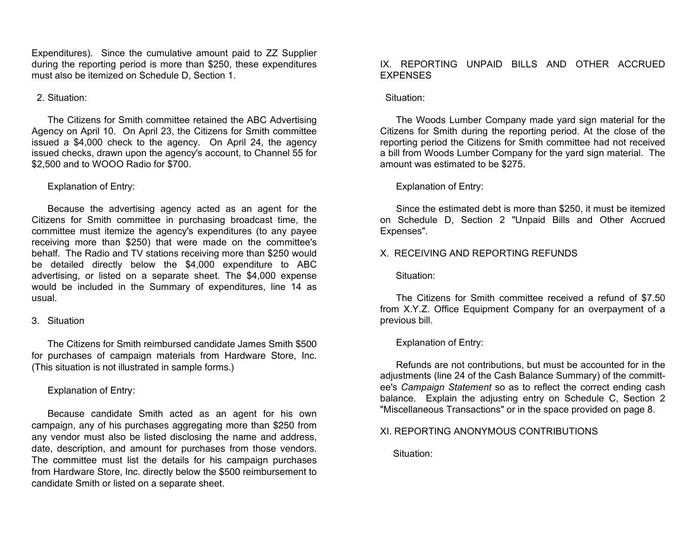Expenditures). Since the cumulative amount paid to ZZ Supplier during the reporting period is more than \$250, these expenditures must also be itemized on Schedule D, Section 1.

### 2. Situation:

The Citizens for Smith committee retained the ABC Advertising Agency on April 10. On April 23, the Citizens for Smith committee issued a \$4,000 check to the agency. On April 24, the agency issued checks, drawn upon the agency's account, to Channel 55 for \$2,500 and to WOOO Radio for \$700.

### Explanation of Entry:

Because the advertising agency acted as an agent for the Citizens for Smith committee in purchasing broadcast time, the committee must itemize the agency's expenditures (to any payee receiving more than \$250) that were made on the committee's behalf. The Radio and TV stations receiving more than \$250 would be detailed directly below the \$4,000 expenditure to ABC advertising, or listed on a separate sheet. The \$4,000 expense would be included in the Summary of expenditures, line 14 as usual.

### 3. Situation

The Citizens for Smith reimbursed candidate James Smith \$500 for purchases of campaign materials from Hardware Store, Inc. (This situation is not illustrated in sample forms.)

### Explanation of Entry:

Because candidate Smith acted as an agent for his own campaign, any of his purchases aggregating more than \$250 from any vendor must also be listed disclosing the name and address, date, description, and amount for purchases from those vendors. The committee must list the details for his campaign purchases from Hardware Store, Inc. directly below the \$500 reimbursement to candidate Smith or listed on a separate sheet.

### IX. REPORTING UNPAID BILLS AND OTHER ACCRUED EXPENSES

### Situation:

The Woods Lumber Company made yard sign material for the Citizens for Smith during the reporting period. At the close of the reporting period the Citizens for Smith committee had not received a bill from Woods Lumber Company for the yard sign material. The amount was estimated to be \$275.

### Explanation of Entry:

Since the estimated debt is more than \$250, it must be itemized on Schedule D, Section 2 "Unpaid Bills and Other Accrued Expenses".

### X. RECEIVING AND REPORTING REFUNDS

### Situation:

The Citizens for Smith committee received a refund of \$7.50 from X.Y.Z. Office Equipment Company for an overpayment of a previous bill.

# Explanation of Entry:

Refunds are not contributions, but must be accounted for in the adjustments (line 24 of the Cash Balance Summary) of the committee's *Campaign Statement* so as to reflect the correct ending cash balance. Explain the adjusting entry on Schedule C, Section 2 "Miscellaneous Transactions" or in the space provided on page 8.

# XI. REPORTING ANONYMOUS CONTRIBUTIONS

# Situation: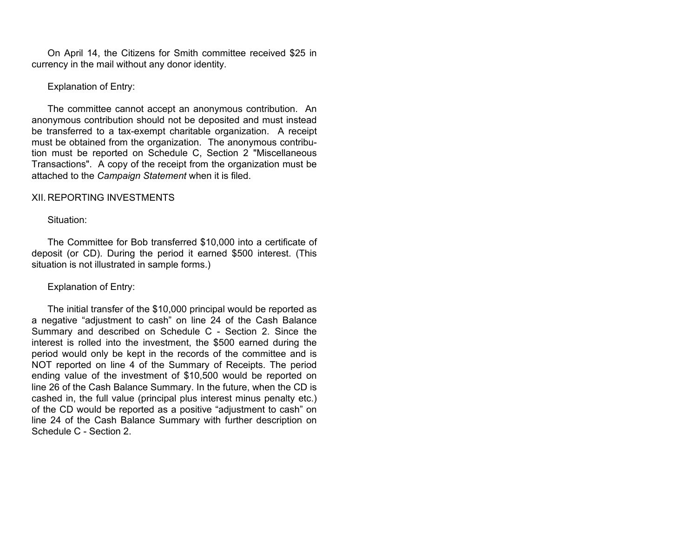On April 14, the Citizens for Smith committee received \$25 in currency in the mail without any donor identity.

### Explanation of Entry:

The committee cannot accept an anonymous contribution. An anonymous contribution should not be deposited and must instead be transferred to a tax-exempt charitable organization. A receipt must be obtained from the organization. The anonymous contribution must be reported on Schedule C, Section 2 "Miscellaneous Transactions". A copy of the receipt from the organization must be attached to the *Campaign Statement* when it is filed.

### XII. REPORTING INVESTMENTS

#### Situation:

The Committee for Bob transferred \$10,000 into a certificate of deposit (or CD). During the period it earned \$500 interest. (This situation is not illustrated in sample forms.)

#### Explanation of Entry:

The initial transfer of the \$10,000 principal would be reported as a negative "adjustment to cash" on line 24 of the Cash Balance Summary and described on Schedule C - Section 2. Since the interest is rolled into the investment, the \$500 earned during the period would only be kept in the records of the committee and is NOT reported on line 4 of the Summary of Receipts. The period ending value of the investment of \$10,500 would be reported on line 26 of the Cash Balance Summary. In the future, when the CD is cashed in, the full value (principal plus interest minus penalty etc.) of the CD would be reported as a positive "adjustment to cash" on line 24 of the Cash Balance Summary with further description on Schedule C - Section 2.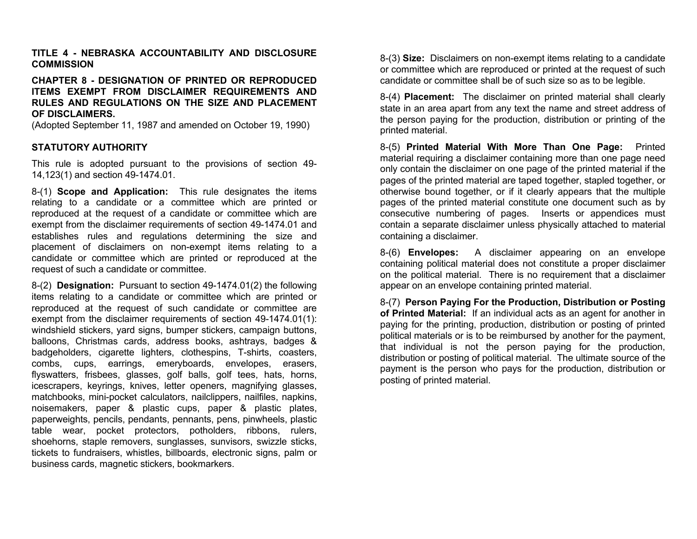### **TITLE 4 - NEBRASKA ACCOUNTABILITY AND DISCLOSURE COMMISSION**

### **CHAPTER 8 - DESIGNATION OF PRINTED OR REPRODUCED ITEMS EXEMPT FROM DISCLAIMER REQUIREMENTS AND RULES AND REGULATIONS ON THE SIZE AND PLACEMENT OF DISCLAIMERS.**

(Adopted September 11, 1987 and amended on October 19, 1990)

### **STATUTORY AUTHORITY**

This rule is adopted pursuant to the provisions of section 49- 14,123(1) and section 49-1474.01.

8-(1) **Scope and Application:** This rule designates the items relating to a candidate or a committee which are printed or reproduced at the request of a candidate or committee which are exempt from the disclaimer requirements of section 49-1474.01 and establishes rules and regulations determining the size and placement of disclaimers on non-exempt items relating to a candidate or committee which are printed or reproduced at the request of such a candidate or committee.

8-(2) **Designation:** Pursuant to section 49-1474.01(2) the following items relating to a candidate or committee which are printed or reproduced at the request of such candidate or committee are exempt from the disclaimer requirements of section 49-1474.01(1): windshield stickers, yard signs, bumper stickers, campaign buttons, balloons, Christmas cards, address books, ashtrays, badges & badgeholders, cigarette lighters, clothespins, T-shirts, coasters, combs, cups, earrings, emeryboards, envelopes, erasers, flyswatters, frisbees, glasses, golf balls, golf tees, hats, horns, icescrapers, keyrings, knives, letter openers, magnifying glasses, matchbooks, mini-pocket calculators, nailclippers, nailfiles, napkins, noisemakers, paper & plastic cups, paper & plastic plates, paperweights, pencils, pendants, pennants, pens, pinwheels, plastic table wear, pocket protectors, potholders, ribbons, rulers, shoehorns, staple removers, sunglasses, sunvisors, swizzle sticks, tickets to fundraisers, whistles, billboards, electronic signs, palm or business cards, magnetic stickers, bookmarkers.

8-(3) **Size:** Disclaimers on non-exempt items relating to a candidate or committee which are reproduced or printed at the request of such candidate or committee shall be of such size so as to be legible.

8-(4) **Placement:** The disclaimer on printed material shall clearly state in an area apart from any text the name and street address of the person paying for the production, distribution or printing of the printed material.

8-(5) **Printed Material With More Than One Page:** Printed material requiring a disclaimer containing more than one page need only contain the disclaimer on one page of the printed material if the pages of the printed material are taped together, stapled together, or otherwise bound together, or if it clearly appears that the multiple pages of the printed material constitute one document such as by consecutive numbering of pages. Inserts or appendices must contain a separate disclaimer unless physically attached to material containing a disclaimer.

8-(6) **Envelopes:** A disclaimer appearing on an envelope containing political material does not constitute a proper disclaimer on the political material. There is no requirement that a disclaimer appear on an envelope containing printed material.

8-(7) **Person Paying For the Production, Distribution or Posting of Printed Material:** If an individual acts as an agent for another in paying for the printing, production, distribution or posting of printed political materials or is to be reimbursed by another for the payment, that individual is not the person paying for the production, distribution or posting of political material. The ultimate source of the payment is the person who pays for the production, distribution or posting of printed material.